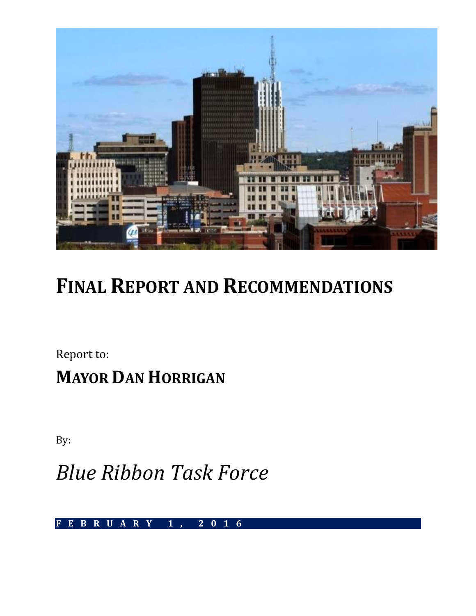

# **FINAL REPORT AND RECOMMENDATIONS**

Report to:

**MAYOR DAN HORRIGAN**

By:

*Blue Ribbon Task Force*

**F E B R U A R Y 1 , 2 0 1 6**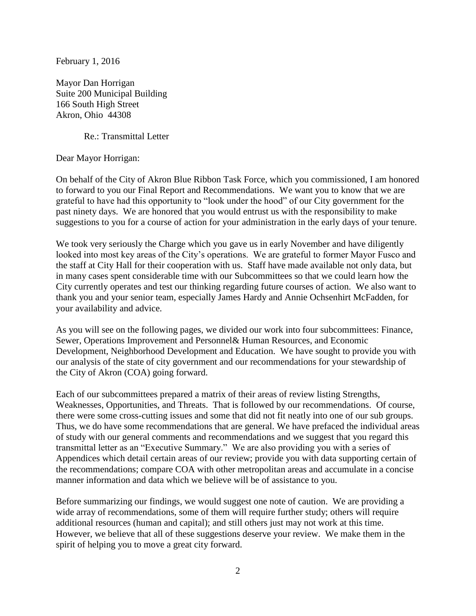February 1, 2016

Mayor Dan Horrigan Suite 200 Municipal Building 166 South High Street Akron, Ohio 44308

Re.: Transmittal Letter

Dear Mayor Horrigan:

On behalf of the City of Akron Blue Ribbon Task Force, which you commissioned, I am honored to forward to you our Final Report and Recommendations. We want you to know that we are grateful to have had this opportunity to "look under the hood" of our City government for the past ninety days. We are honored that you would entrust us with the responsibility to make suggestions to you for a course of action for your administration in the early days of your tenure.

We took very seriously the Charge which you gave us in early November and have diligently looked into most key areas of the City's operations. We are grateful to former Mayor Fusco and the staff at City Hall for their cooperation with us. Staff have made available not only data, but in many cases spent considerable time with our Subcommittees so that we could learn how the City currently operates and test our thinking regarding future courses of action. We also want to thank you and your senior team, especially James Hardy and Annie Ochsenhirt McFadden, for your availability and advice.

As you will see on the following pages, we divided our work into four subcommittees: Finance, Sewer, Operations Improvement and Personnel& Human Resources, and Economic Development, Neighborhood Development and Education. We have sought to provide you with our analysis of the state of city government and our recommendations for your stewardship of the City of Akron (COA) going forward.

Each of our subcommittees prepared a matrix of their areas of review listing Strengths, Weaknesses, Opportunities, and Threats. That is followed by our recommendations. Of course, there were some cross-cutting issues and some that did not fit neatly into one of our sub groups. Thus, we do have some recommendations that are general. We have prefaced the individual areas of study with our general comments and recommendations and we suggest that you regard this transmittal letter as an "Executive Summary." We are also providing you with a series of Appendices which detail certain areas of our review; provide you with data supporting certain of the recommendations; compare COA with other metropolitan areas and accumulate in a concise manner information and data which we believe will be of assistance to you.

Before summarizing our findings, we would suggest one note of caution. We are providing a wide array of recommendations, some of them will require further study; others will require additional resources (human and capital); and still others just may not work at this time. However, we believe that all of these suggestions deserve your review. We make them in the spirit of helping you to move a great city forward.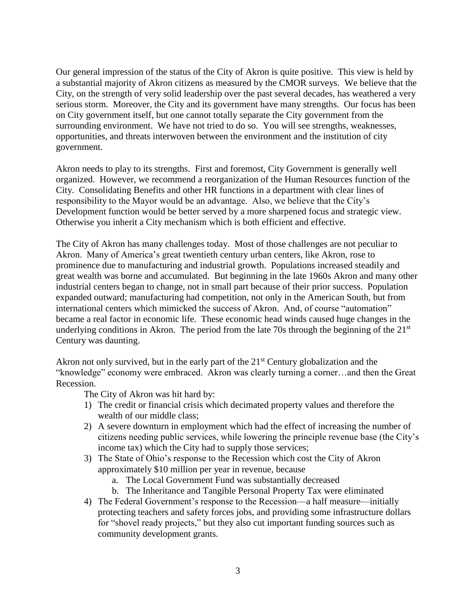Our general impression of the status of the City of Akron is quite positive. This view is held by a substantial majority of Akron citizens as measured by the CMOR surveys. We believe that the City, on the strength of very solid leadership over the past several decades, has weathered a very serious storm. Moreover, the City and its government have many strengths. Our focus has been on City government itself, but one cannot totally separate the City government from the surrounding environment. We have not tried to do so. You will see strengths, weaknesses, opportunities, and threats interwoven between the environment and the institution of city government.

Akron needs to play to its strengths. First and foremost, City Government is generally well organized. However, we recommend a reorganization of the Human Resources function of the City. Consolidating Benefits and other HR functions in a department with clear lines of responsibility to the Mayor would be an advantage. Also, we believe that the City's Development function would be better served by a more sharpened focus and strategic view. Otherwise you inherit a City mechanism which is both efficient and effective.

The City of Akron has many challenges today. Most of those challenges are not peculiar to Akron. Many of America's great twentieth century urban centers, like Akron, rose to prominence due to manufacturing and industrial growth. Populations increased steadily and great wealth was borne and accumulated. But beginning in the late 1960s Akron and many other industrial centers began to change, not in small part because of their prior success. Population expanded outward; manufacturing had competition, not only in the American South, but from international centers which mimicked the success of Akron. And, of course "automation" became a real factor in economic life. These economic head winds caused huge changes in the underlying conditions in Akron. The period from the late 70s through the beginning of the  $21<sup>st</sup>$ Century was daunting.

Akron not only survived, but in the early part of the  $21<sup>st</sup>$  Century globalization and the "knowledge" economy were embraced. Akron was clearly turning a corner…and then the Great Recession.

The City of Akron was hit hard by:

- 1) The credit or financial crisis which decimated property values and therefore the wealth of our middle class;
- 2) A severe downturn in employment which had the effect of increasing the number of citizens needing public services, while lowering the principle revenue base (the City's income tax) which the City had to supply those services;
- 3) The State of Ohio's response to the Recession which cost the City of Akron approximately \$10 million per year in revenue, because
	- a. The Local Government Fund was substantially decreased
	- b. The Inheritance and Tangible Personal Property Tax were eliminated
- 4) The Federal Government's response to the Recession—a half measure—initially protecting teachers and safety forces jobs, and providing some infrastructure dollars for "shovel ready projects," but they also cut important funding sources such as community development grants.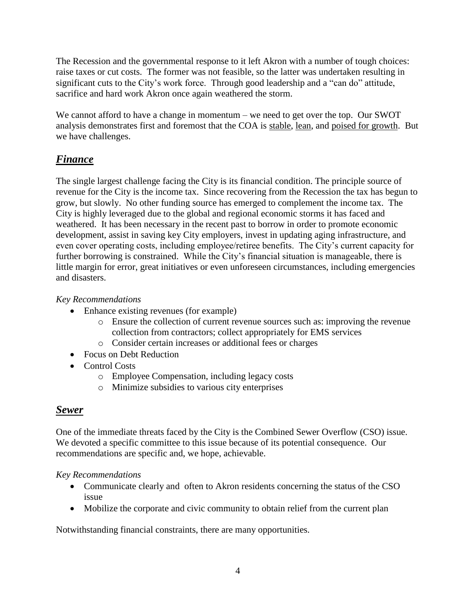The Recession and the governmental response to it left Akron with a number of tough choices: raise taxes or cut costs. The former was not feasible, so the latter was undertaken resulting in significant cuts to the City's work force. Through good leadership and a "can do" attitude, sacrifice and hard work Akron once again weathered the storm.

We cannot afford to have a change in momentum – we need to get over the top. Our SWOT analysis demonstrates first and foremost that the COA is stable, lean, and poised for growth. But we have challenges.

## *Finance*

The single largest challenge facing the City is its financial condition. The principle source of revenue for the City is the income tax. Since recovering from the Recession the tax has begun to grow, but slowly. No other funding source has emerged to complement the income tax. The City is highly leveraged due to the global and regional economic storms it has faced and weathered. It has been necessary in the recent past to borrow in order to promote economic development, assist in saving key City employers, invest in updating aging infrastructure, and even cover operating costs, including employee/retiree benefits. The City's current capacity for further borrowing is constrained. While the City's financial situation is manageable, there is little margin for error, great initiatives or even unforeseen circumstances, including emergencies and disasters.

## *Key Recommendations*

- Enhance existing revenues (for example)
	- o Ensure the collection of current revenue sources such as: improving the revenue collection from contractors; collect appropriately for EMS services
	- o Consider certain increases or additional fees or charges
- Focus on Debt Reduction
- Control Costs
	- o Employee Compensation, including legacy costs
	- o Minimize subsidies to various city enterprises

## *Sewer*

One of the immediate threats faced by the City is the Combined Sewer Overflow (CSO) issue. We devoted a specific committee to this issue because of its potential consequence. Our recommendations are specific and, we hope, achievable.

## *Key Recommendations*

- Communicate clearly and often to Akron residents concerning the status of the CSO issue
- Mobilize the corporate and civic community to obtain relief from the current plan

Notwithstanding financial constraints, there are many opportunities.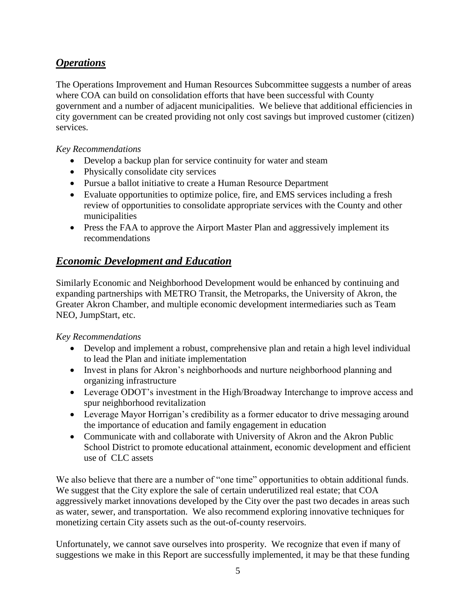## *Operations*

The Operations Improvement and Human Resources Subcommittee suggests a number of areas where COA can build on consolidation efforts that have been successful with County government and a number of adjacent municipalities. We believe that additional efficiencies in city government can be created providing not only cost savings but improved customer (citizen) services.

### *Key Recommendations*

- Develop a backup plan for service continuity for water and steam
- Physically consolidate city services
- Pursue a ballot initiative to create a Human Resource Department
- Evaluate opportunities to optimize police, fire, and EMS services including a fresh review of opportunities to consolidate appropriate services with the County and other municipalities
- Press the FAA to approve the Airport Master Plan and aggressively implement its recommendations

## *Economic Development and Education*

Similarly Economic and Neighborhood Development would be enhanced by continuing and expanding partnerships with METRO Transit, the Metroparks, the University of Akron, the Greater Akron Chamber, and multiple economic development intermediaries such as Team NEO, JumpStart, etc.

## *Key Recommendations*

- Develop and implement a robust, comprehensive plan and retain a high level individual to lead the Plan and initiate implementation
- Invest in plans for Akron's neighborhoods and nurture neighborhood planning and organizing infrastructure
- Leverage ODOT's investment in the High/Broadway Interchange to improve access and spur neighborhood revitalization
- Leverage Mayor Horrigan's credibility as a former educator to drive messaging around the importance of education and family engagement in education
- Communicate with and collaborate with University of Akron and the Akron Public School District to promote educational attainment, economic development and efficient use of CLC assets

We also believe that there are a number of "one time" opportunities to obtain additional funds. We suggest that the City explore the sale of certain underutilized real estate; that COA aggressively market innovations developed by the City over the past two decades in areas such as water, sewer, and transportation. We also recommend exploring innovative techniques for monetizing certain City assets such as the out-of-county reservoirs.

Unfortunately, we cannot save ourselves into prosperity. We recognize that even if many of suggestions we make in this Report are successfully implemented, it may be that these funding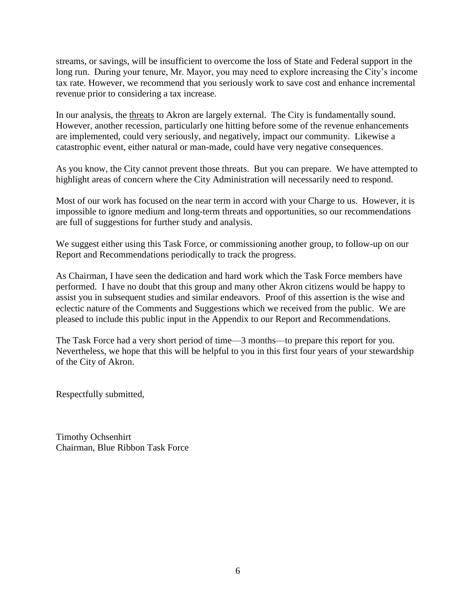streams, or savings, will be insufficient to overcome the loss of State and Federal support in the long run. During your tenure, Mr. Mayor, you may need to explore increasing the City's income tax rate. However, we recommend that you seriously work to save cost and enhance incremental revenue prior to considering a tax increase.

In our analysis, the threats to Akron are largely external. The City is fundamentally sound. However, another recession, particularly one hitting before some of the revenue enhancements are implemented, could very seriously, and negatively, impact our community. Likewise a catastrophic event, either natural or man-made, could have very negative consequences.

As you know, the City cannot prevent those threats. But you can prepare. We have attempted to highlight areas of concern where the City Administration will necessarily need to respond.

Most of our work has focused on the near term in accord with your Charge to us. However, it is impossible to ignore medium and long-term threats and opportunities, so our recommendations are full of suggestions for further study and analysis.

We suggest either using this Task Force, or commissioning another group, to follow-up on our Report and Recommendations periodically to track the progress.

As Chairman, I have seen the dedication and hard work which the Task Force members have performed. I have no doubt that this group and many other Akron citizens would be happy to assist you in subsequent studies and similar endeavors. Proof of this assertion is the wise and eclectic nature of the Comments and Suggestions which we received from the public. We are pleased to include this public input in the Appendix to our Report and Recommendations.

The Task Force had a very short period of time—3 months—to prepare this report for you. Nevertheless, we hope that this will be helpful to you in this first four years of your stewardship of the City of Akron.

Respectfully submitted,

Timothy Ochsenhirt Chairman, Blue Ribbon Task Force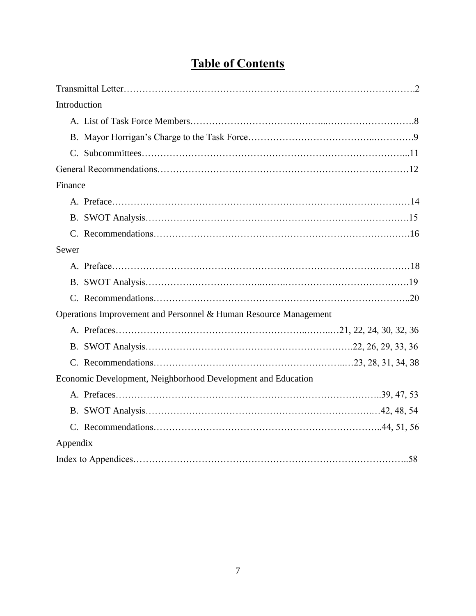## **Table of Contents**

| Introduction                                                     |  |
|------------------------------------------------------------------|--|
|                                                                  |  |
|                                                                  |  |
|                                                                  |  |
|                                                                  |  |
| Finance                                                          |  |
|                                                                  |  |
|                                                                  |  |
|                                                                  |  |
| Sewer                                                            |  |
|                                                                  |  |
|                                                                  |  |
|                                                                  |  |
| Operations Improvement and Personnel & Human Resource Management |  |
|                                                                  |  |
|                                                                  |  |
|                                                                  |  |
| Economic Development, Neighborhood Development and Education     |  |
|                                                                  |  |
|                                                                  |  |
|                                                                  |  |
| Appendix                                                         |  |
|                                                                  |  |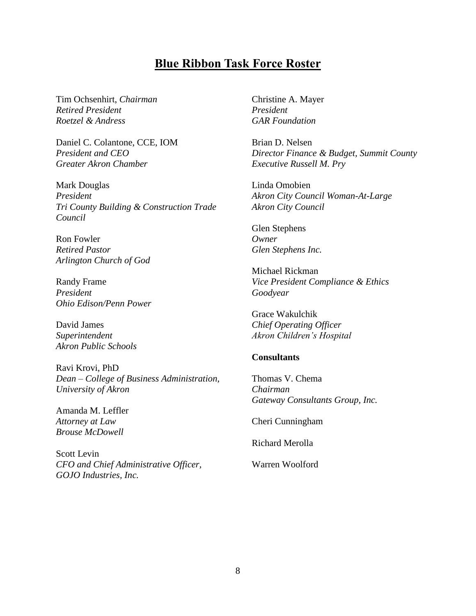## **Blue Ribbon Task Force Roster**

Tim Ochsenhirt, *Chairman Retired President Roetzel & Andress*

Daniel C. Colantone, CCE, IOM *President and CEO Greater Akron Chamber*

Mark Douglas *President Tri County Building & Construction Trade Council*

Ron Fowler *Retired Pastor Arlington Church of God*

Randy Frame *President Ohio Edison/Penn Power*

David James *Superintendent Akron Public Schools*

Ravi Krovi, PhD *Dean – College of Business Administration, University of Akron*

Amanda M. Leffler *Attorney at Law Brouse McDowell*

Scott Levin *CFO and Chief Administrative Officer, GOJO Industries, Inc.*

Christine A. Mayer *President GAR Foundation*

Brian D. Nelsen *Director Finance & Budget, Summit County Executive Russell M. Pry*

Linda Omobien *Akron City Council Woman-At-Large Akron City Council*

Glen Stephens *Owner Glen Stephens Inc.*

Michael Rickman *Vice President Compliance & Ethics Goodyear*

Grace Wakulchik *Chief Operating Officer Akron Children's Hospital*

#### **Consultants**

Thomas V. Chema *Chairman Gateway Consultants Group, Inc.*

Cheri Cunningham

Richard Merolla

Warren Woolford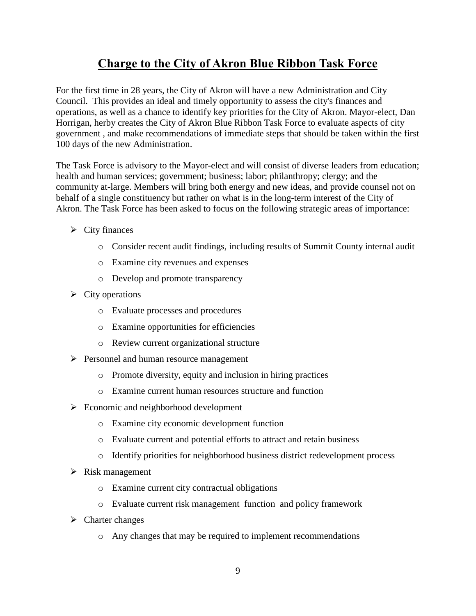## **Charge to the City of Akron Blue Ribbon Task Force**

For the first time in 28 years, the City of Akron will have a new Administration and City Council. This provides an ideal and timely opportunity to assess the city's finances and operations, as well as a chance to identify key priorities for the City of Akron. Mayor-elect, Dan Horrigan, herby creates the City of Akron Blue Ribbon Task Force to evaluate aspects of city government , and make recommendations of immediate steps that should be taken within the first 100 days of the new Administration.

The Task Force is advisory to the Mayor-elect and will consist of diverse leaders from education; health and human services; government; business; labor; philanthropy; clergy; and the community at-large. Members will bring both energy and new ideas, and provide counsel not on behalf of a single constituency but rather on what is in the long-term interest of the City of Akron. The Task Force has been asked to focus on the following strategic areas of importance:

- $\triangleright$  City finances
	- o Consider recent audit findings, including results of Summit County internal audit
	- o Examine city revenues and expenses
	- o Develop and promote transparency
- $\triangleright$  City operations
	- o Evaluate processes and procedures
	- o Examine opportunities for efficiencies
	- o Review current organizational structure
- **Personnel and human resource management** 
	- o Promote diversity, equity and inclusion in hiring practices
	- o Examine current human resources structure and function
- $\triangleright$  Economic and neighborhood development
	- o Examine city economic development function
	- o Evaluate current and potential efforts to attract and retain business
	- o Identify priorities for neighborhood business district redevelopment process
- $\triangleright$  Risk management
	- o Examine current city contractual obligations
	- o Evaluate current risk management function and policy framework
- $\triangleright$  Charter changes
	- o Any changes that may be required to implement recommendations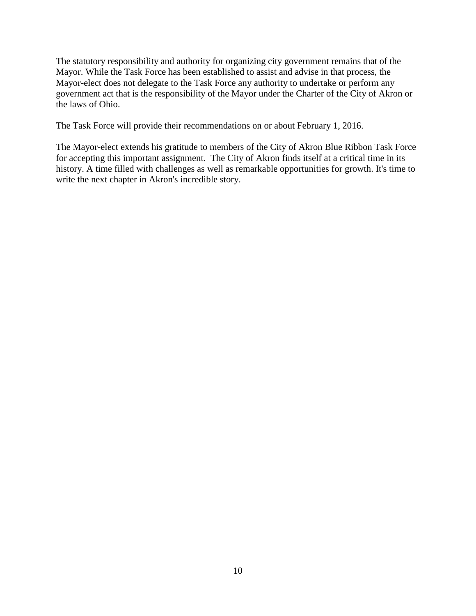The statutory responsibility and authority for organizing city government remains that of the Mayor. While the Task Force has been established to assist and advise in that process, the Mayor-elect does not delegate to the Task Force any authority to undertake or perform any government act that is the responsibility of the Mayor under the Charter of the City of Akron or the laws of Ohio.

The Task Force will provide their recommendations on or about February 1, 2016.

The Mayor-elect extends his gratitude to members of the City of Akron Blue Ribbon Task Force for accepting this important assignment. The City of Akron finds itself at a critical time in its history. A time filled with challenges as well as remarkable opportunities for growth. It's time to write the next chapter in Akron's incredible story.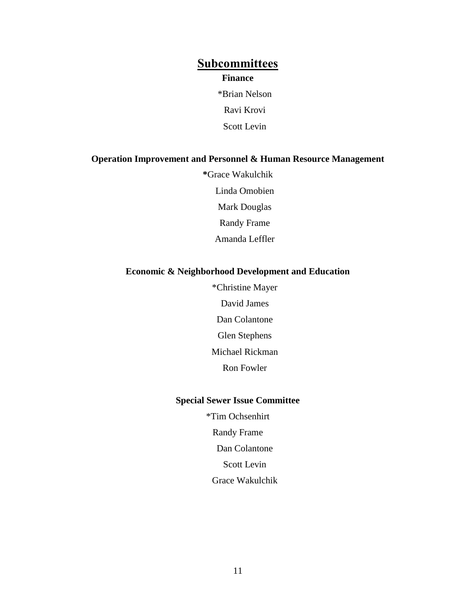## **Subcommittees Finance**

\*Brian Nelson Ravi Krovi Scott Levin

#### **Operation Improvement and Personnel & Human Resource Management**

**\***Grace Wakulchik Linda Omobien Mark Douglas Randy Frame Amanda Leffler

## **Economic & Neighborhood Development and Education**

\*Christine Mayer David James Dan Colantone Glen Stephens Michael Rickman Ron Fowler

## **Special Sewer Issue Committee**

\*Tim Ochsenhirt Randy Frame Dan Colantone Scott Levin Grace Wakulchik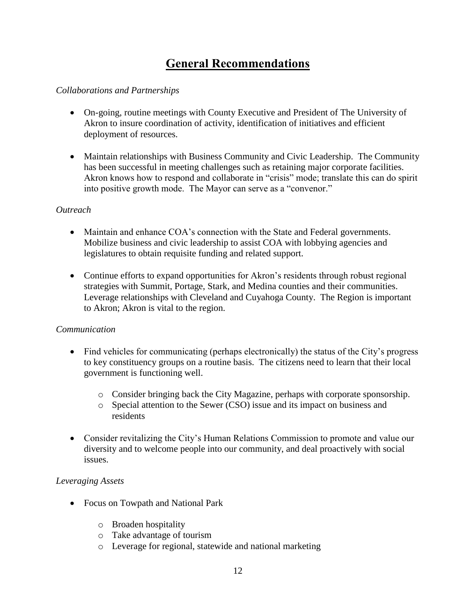## **General Recommendations**

## *Collaborations and Partnerships*

- On-going, routine meetings with County Executive and President of The University of Akron to insure coordination of activity, identification of initiatives and efficient deployment of resources.
- Maintain relationships with Business Community and Civic Leadership. The Community has been successful in meeting challenges such as retaining major corporate facilities. Akron knows how to respond and collaborate in "crisis" mode; translate this can do spirit into positive growth mode. The Mayor can serve as a "convenor."

#### *Outreach*

- Maintain and enhance COA's connection with the State and Federal governments. Mobilize business and civic leadership to assist COA with lobbying agencies and legislatures to obtain requisite funding and related support.
- Continue efforts to expand opportunities for Akron's residents through robust regional strategies with Summit, Portage, Stark, and Medina counties and their communities. Leverage relationships with Cleveland and Cuyahoga County. The Region is important to Akron; Akron is vital to the region.

## *Communication*

- Find vehicles for communicating (perhaps electronically) the status of the City's progress to key constituency groups on a routine basis. The citizens need to learn that their local government is functioning well.
	- o Consider bringing back the City Magazine, perhaps with corporate sponsorship.
	- o Special attention to the Sewer (CSO) issue and its impact on business and residents
- Consider revitalizing the City's Human Relations Commission to promote and value our diversity and to welcome people into our community, and deal proactively with social issues.

## *Leveraging Assets*

- Focus on Towpath and National Park
	- o Broaden hospitality
	- o Take advantage of tourism
	- o Leverage for regional, statewide and national marketing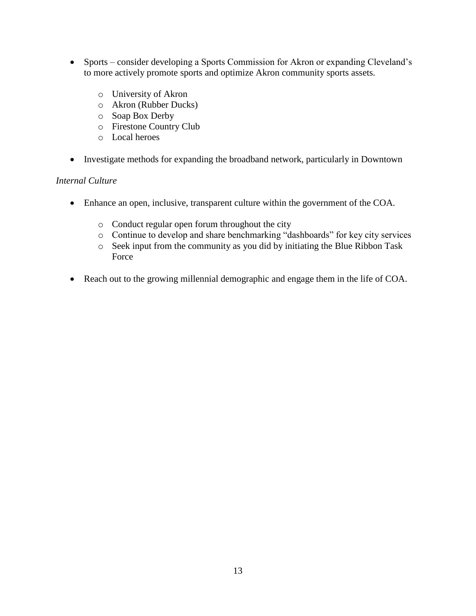- Sports consider developing a Sports Commission for Akron or expanding Cleveland's to more actively promote sports and optimize Akron community sports assets.
	- o University of Akron
	- o Akron (Rubber Ducks)
	- o Soap Box Derby
	- o Firestone Country Club
	- o Local heroes
- Investigate methods for expanding the broadband network, particularly in Downtown

#### *Internal Culture*

- Enhance an open, inclusive, transparent culture within the government of the COA.
	- o Conduct regular open forum throughout the city
	- o Continue to develop and share benchmarking "dashboards" for key city services
	- o Seek input from the community as you did by initiating the Blue Ribbon Task Force
- Reach out to the growing millennial demographic and engage them in the life of COA.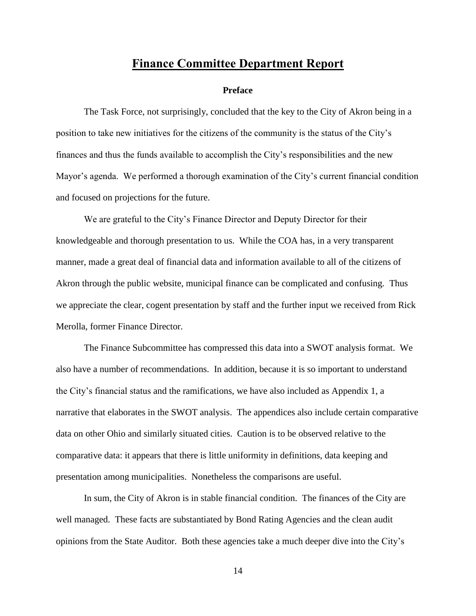## **Finance Committee Department Report**

#### **Preface**

The Task Force, not surprisingly, concluded that the key to the City of Akron being in a position to take new initiatives for the citizens of the community is the status of the City's finances and thus the funds available to accomplish the City's responsibilities and the new Mayor's agenda. We performed a thorough examination of the City's current financial condition and focused on projections for the future.

We are grateful to the City's Finance Director and Deputy Director for their knowledgeable and thorough presentation to us. While the COA has, in a very transparent manner, made a great deal of financial data and information available to all of the citizens of Akron through the public website, municipal finance can be complicated and confusing. Thus we appreciate the clear, cogent presentation by staff and the further input we received from Rick Merolla, former Finance Director.

The Finance Subcommittee has compressed this data into a SWOT analysis format. We also have a number of recommendations. In addition, because it is so important to understand the City's financial status and the ramifications, we have also included as Appendix 1, a narrative that elaborates in the SWOT analysis. The appendices also include certain comparative data on other Ohio and similarly situated cities. Caution is to be observed relative to the comparative data: it appears that there is little uniformity in definitions, data keeping and presentation among municipalities. Nonetheless the comparisons are useful.

In sum, the City of Akron is in stable financial condition. The finances of the City are well managed. These facts are substantiated by Bond Rating Agencies and the clean audit opinions from the State Auditor. Both these agencies take a much deeper dive into the City's

14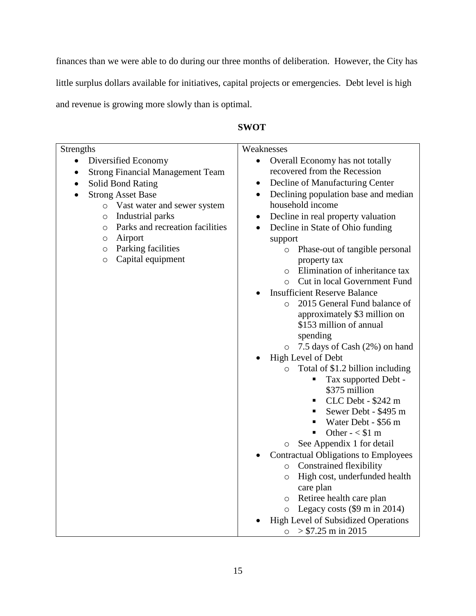finances than we were able to do during our three months of deliberation. However, the City has little surplus dollars available for initiatives, capital projects or emergencies. Debt level is high and revenue is growing more slowly than is optimal.

|                  | Weaknesses             |
|------------------|------------------------|
|                  | Overall Economy has    |
| gement Team      | recovered from the Re  |
|                  | Decline of Manufactu   |
|                  | Declining population   |
| sewer system     | household income       |
|                  | Decline in real proper |
| ation facilities | Decline in State of Oh |
|                  | support                |
| ۰S               | Phase-out of ta        |
|                  |                        |

٦

## **SWOT**

| Diversified Economy<br>Overall Economy has not totally<br>$\bullet$<br>$\bullet$<br>recovered from the Recession<br><b>Strong Financial Management Team</b><br>Decline of Manufacturing Center<br>Solid Bond Rating<br>$\bullet$<br>$\bullet$<br>Declining population base and median<br><b>Strong Asset Base</b><br>$\bullet$<br>household income<br>o Vast water and sewer system<br>Decline in real property valuation<br>Industrial parks<br>$\circ$<br>$\bullet$<br>Parks and recreation facilities<br>Decline in State of Ohio funding<br>$\circ$<br>Airport<br>$\circ$<br>support<br>Parking facilities<br>Phase-out of tangible personal<br>$\circ$<br>$\circ$<br>Capital equipment<br>$\circ$<br>property tax<br>Elimination of inheritance tax<br>$\circ$<br>Cut in local Government Fund<br>$\circ$<br><b>Insufficient Reserve Balance</b><br>2015 General Fund balance of<br>$\Omega$<br>approximately \$3 million on<br>\$153 million of annual<br>spending<br>$\circ$ 7.5 days of Cash (2%) on hand<br>High Level of Debt<br>Total of \$1.2 billion including<br>$\circ$<br>Tax supported Debt -<br>\$375 million<br>CLC Debt - \$242 m<br>Sewer Debt - \$495 m<br>Water Debt - \$56 m<br>Other - $<$ \$1 m<br>g,<br>See Appendix 1 for detail<br>$\circ$<br><b>Contractual Obligations to Employees</b><br>o Constrained flexibility<br>High cost, underfunded health<br>$\circ$<br>care plan<br>o Retiree health care plan | Strengths | Weaknesses                           |
|--------------------------------------------------------------------------------------------------------------------------------------------------------------------------------------------------------------------------------------------------------------------------------------------------------------------------------------------------------------------------------------------------------------------------------------------------------------------------------------------------------------------------------------------------------------------------------------------------------------------------------------------------------------------------------------------------------------------------------------------------------------------------------------------------------------------------------------------------------------------------------------------------------------------------------------------------------------------------------------------------------------------------------------------------------------------------------------------------------------------------------------------------------------------------------------------------------------------------------------------------------------------------------------------------------------------------------------------------------------------------------------------------------------------------------------------|-----------|--------------------------------------|
|                                                                                                                                                                                                                                                                                                                                                                                                                                                                                                                                                                                                                                                                                                                                                                                                                                                                                                                                                                                                                                                                                                                                                                                                                                                                                                                                                                                                                                            |           |                                      |
|                                                                                                                                                                                                                                                                                                                                                                                                                                                                                                                                                                                                                                                                                                                                                                                                                                                                                                                                                                                                                                                                                                                                                                                                                                                                                                                                                                                                                                            |           |                                      |
|                                                                                                                                                                                                                                                                                                                                                                                                                                                                                                                                                                                                                                                                                                                                                                                                                                                                                                                                                                                                                                                                                                                                                                                                                                                                                                                                                                                                                                            |           |                                      |
|                                                                                                                                                                                                                                                                                                                                                                                                                                                                                                                                                                                                                                                                                                                                                                                                                                                                                                                                                                                                                                                                                                                                                                                                                                                                                                                                                                                                                                            |           |                                      |
|                                                                                                                                                                                                                                                                                                                                                                                                                                                                                                                                                                                                                                                                                                                                                                                                                                                                                                                                                                                                                                                                                                                                                                                                                                                                                                                                                                                                                                            |           |                                      |
|                                                                                                                                                                                                                                                                                                                                                                                                                                                                                                                                                                                                                                                                                                                                                                                                                                                                                                                                                                                                                                                                                                                                                                                                                                                                                                                                                                                                                                            |           |                                      |
|                                                                                                                                                                                                                                                                                                                                                                                                                                                                                                                                                                                                                                                                                                                                                                                                                                                                                                                                                                                                                                                                                                                                                                                                                                                                                                                                                                                                                                            |           |                                      |
|                                                                                                                                                                                                                                                                                                                                                                                                                                                                                                                                                                                                                                                                                                                                                                                                                                                                                                                                                                                                                                                                                                                                                                                                                                                                                                                                                                                                                                            |           |                                      |
|                                                                                                                                                                                                                                                                                                                                                                                                                                                                                                                                                                                                                                                                                                                                                                                                                                                                                                                                                                                                                                                                                                                                                                                                                                                                                                                                                                                                                                            |           |                                      |
|                                                                                                                                                                                                                                                                                                                                                                                                                                                                                                                                                                                                                                                                                                                                                                                                                                                                                                                                                                                                                                                                                                                                                                                                                                                                                                                                                                                                                                            |           |                                      |
|                                                                                                                                                                                                                                                                                                                                                                                                                                                                                                                                                                                                                                                                                                                                                                                                                                                                                                                                                                                                                                                                                                                                                                                                                                                                                                                                                                                                                                            |           |                                      |
|                                                                                                                                                                                                                                                                                                                                                                                                                                                                                                                                                                                                                                                                                                                                                                                                                                                                                                                                                                                                                                                                                                                                                                                                                                                                                                                                                                                                                                            |           |                                      |
|                                                                                                                                                                                                                                                                                                                                                                                                                                                                                                                                                                                                                                                                                                                                                                                                                                                                                                                                                                                                                                                                                                                                                                                                                                                                                                                                                                                                                                            |           |                                      |
|                                                                                                                                                                                                                                                                                                                                                                                                                                                                                                                                                                                                                                                                                                                                                                                                                                                                                                                                                                                                                                                                                                                                                                                                                                                                                                                                                                                                                                            |           |                                      |
|                                                                                                                                                                                                                                                                                                                                                                                                                                                                                                                                                                                                                                                                                                                                                                                                                                                                                                                                                                                                                                                                                                                                                                                                                                                                                                                                                                                                                                            |           |                                      |
|                                                                                                                                                                                                                                                                                                                                                                                                                                                                                                                                                                                                                                                                                                                                                                                                                                                                                                                                                                                                                                                                                                                                                                                                                                                                                                                                                                                                                                            |           |                                      |
|                                                                                                                                                                                                                                                                                                                                                                                                                                                                                                                                                                                                                                                                                                                                                                                                                                                                                                                                                                                                                                                                                                                                                                                                                                                                                                                                                                                                                                            |           |                                      |
|                                                                                                                                                                                                                                                                                                                                                                                                                                                                                                                                                                                                                                                                                                                                                                                                                                                                                                                                                                                                                                                                                                                                                                                                                                                                                                                                                                                                                                            |           |                                      |
|                                                                                                                                                                                                                                                                                                                                                                                                                                                                                                                                                                                                                                                                                                                                                                                                                                                                                                                                                                                                                                                                                                                                                                                                                                                                                                                                                                                                                                            |           |                                      |
|                                                                                                                                                                                                                                                                                                                                                                                                                                                                                                                                                                                                                                                                                                                                                                                                                                                                                                                                                                                                                                                                                                                                                                                                                                                                                                                                                                                                                                            |           |                                      |
|                                                                                                                                                                                                                                                                                                                                                                                                                                                                                                                                                                                                                                                                                                                                                                                                                                                                                                                                                                                                                                                                                                                                                                                                                                                                                                                                                                                                                                            |           |                                      |
|                                                                                                                                                                                                                                                                                                                                                                                                                                                                                                                                                                                                                                                                                                                                                                                                                                                                                                                                                                                                                                                                                                                                                                                                                                                                                                                                                                                                                                            |           |                                      |
|                                                                                                                                                                                                                                                                                                                                                                                                                                                                                                                                                                                                                                                                                                                                                                                                                                                                                                                                                                                                                                                                                                                                                                                                                                                                                                                                                                                                                                            |           |                                      |
|                                                                                                                                                                                                                                                                                                                                                                                                                                                                                                                                                                                                                                                                                                                                                                                                                                                                                                                                                                                                                                                                                                                                                                                                                                                                                                                                                                                                                                            |           |                                      |
|                                                                                                                                                                                                                                                                                                                                                                                                                                                                                                                                                                                                                                                                                                                                                                                                                                                                                                                                                                                                                                                                                                                                                                                                                                                                                                                                                                                                                                            |           |                                      |
|                                                                                                                                                                                                                                                                                                                                                                                                                                                                                                                                                                                                                                                                                                                                                                                                                                                                                                                                                                                                                                                                                                                                                                                                                                                                                                                                                                                                                                            |           |                                      |
|                                                                                                                                                                                                                                                                                                                                                                                                                                                                                                                                                                                                                                                                                                                                                                                                                                                                                                                                                                                                                                                                                                                                                                                                                                                                                                                                                                                                                                            |           |                                      |
|                                                                                                                                                                                                                                                                                                                                                                                                                                                                                                                                                                                                                                                                                                                                                                                                                                                                                                                                                                                                                                                                                                                                                                                                                                                                                                                                                                                                                                            |           |                                      |
|                                                                                                                                                                                                                                                                                                                                                                                                                                                                                                                                                                                                                                                                                                                                                                                                                                                                                                                                                                                                                                                                                                                                                                                                                                                                                                                                                                                                                                            |           |                                      |
|                                                                                                                                                                                                                                                                                                                                                                                                                                                                                                                                                                                                                                                                                                                                                                                                                                                                                                                                                                                                                                                                                                                                                                                                                                                                                                                                                                                                                                            |           |                                      |
|                                                                                                                                                                                                                                                                                                                                                                                                                                                                                                                                                                                                                                                                                                                                                                                                                                                                                                                                                                                                                                                                                                                                                                                                                                                                                                                                                                                                                                            |           |                                      |
|                                                                                                                                                                                                                                                                                                                                                                                                                                                                                                                                                                                                                                                                                                                                                                                                                                                                                                                                                                                                                                                                                                                                                                                                                                                                                                                                                                                                                                            |           | $\circ$ Legacy costs (\$9 m in 2014) |
| <b>High Level of Subsidized Operations</b>                                                                                                                                                                                                                                                                                                                                                                                                                                                                                                                                                                                                                                                                                                                                                                                                                                                                                                                                                                                                                                                                                                                                                                                                                                                                                                                                                                                                 |           |                                      |
| $> $7.25$ m in 2015<br>$\circ$                                                                                                                                                                                                                                                                                                                                                                                                                                                                                                                                                                                                                                                                                                                                                                                                                                                                                                                                                                                                                                                                                                                                                                                                                                                                                                                                                                                                             |           |                                      |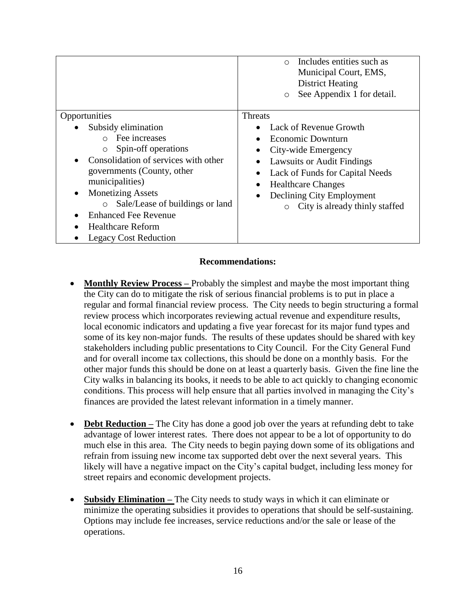|                                                                                                                                                                                                                                                                                                                                                             | <b>District Heating</b><br>See Appendix 1 for detail.<br>$\circ$                                                                                                                                                                                               |
|-------------------------------------------------------------------------------------------------------------------------------------------------------------------------------------------------------------------------------------------------------------------------------------------------------------------------------------------------------------|----------------------------------------------------------------------------------------------------------------------------------------------------------------------------------------------------------------------------------------------------------------|
| Opportunities                                                                                                                                                                                                                                                                                                                                               | Threats                                                                                                                                                                                                                                                        |
| Subsidy elimination<br>Fee increases<br>$\cap$<br>Spin-off operations<br>$\circ$<br>Consolidation of services with other<br>governments (County, other<br>municipalities)<br><b>Monetizing Assets</b><br>$\bullet$<br>Sale/Lease of buildings or land<br>$\circ$<br><b>Enhanced Fee Revenue</b><br><b>Healthcare Reform</b><br><b>Legacy Cost Reduction</b> | Lack of Revenue Growth<br>Economic Downturn<br>City-wide Emergency<br><b>Lawsuits or Audit Findings</b><br>Lack of Funds for Capital Needs<br><b>Healthcare Changes</b><br>Declining City Employment<br>$\bullet$<br>City is already thinly staffed<br>$\circ$ |

#### **Recommendations:**

- **Monthly Review Process –** Probably the simplest and maybe the most important thing the City can do to mitigate the risk of serious financial problems is to put in place a regular and formal financial review process. The City needs to begin structuring a formal review process which incorporates reviewing actual revenue and expenditure results, local economic indicators and updating a five year forecast for its major fund types and some of its key non-major funds. The results of these updates should be shared with key stakeholders including public presentations to City Council. For the City General Fund and for overall income tax collections, this should be done on a monthly basis. For the other major funds this should be done on at least a quarterly basis. Given the fine line the City walks in balancing its books, it needs to be able to act quickly to changing economic conditions. This process will help ensure that all parties involved in managing the City's finances are provided the latest relevant information in a timely manner.
- **Debt Reduction** The City has done a good job over the years at refunding debt to take advantage of lower interest rates. There does not appear to be a lot of opportunity to do much else in this area. The City needs to begin paying down some of its obligations and refrain from issuing new income tax supported debt over the next several years. This likely will have a negative impact on the City's capital budget, including less money for street repairs and economic development projects.
- **Subsidy Elimination –** The City needs to study ways in which it can eliminate or minimize the operating subsidies it provides to operations that should be self-sustaining. Options may include fee increases, service reductions and/or the sale or lease of the operations.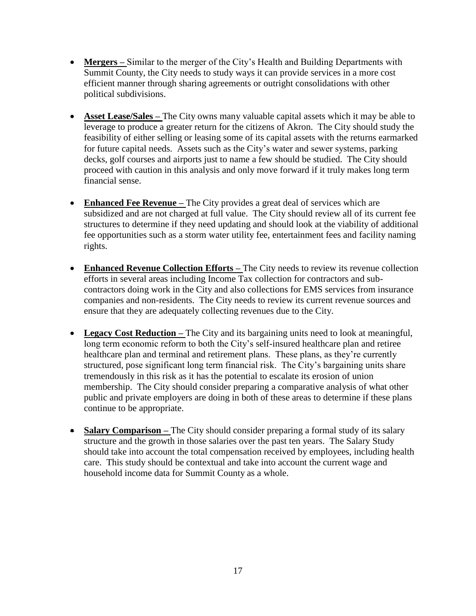- **Mergers –** Similar to the merger of the City's Health and Building Departments with Summit County, the City needs to study ways it can provide services in a more cost efficient manner through sharing agreements or outright consolidations with other political subdivisions.
- **Asset Lease/Sales** The City owns many valuable capital assets which it may be able to leverage to produce a greater return for the citizens of Akron. The City should study the feasibility of either selling or leasing some of its capital assets with the returns earmarked for future capital needs. Assets such as the City's water and sewer systems, parking decks, golf courses and airports just to name a few should be studied. The City should proceed with caution in this analysis and only move forward if it truly makes long term financial sense.
- **Enhanced Fee Revenue –** The City provides a great deal of services which are subsidized and are not charged at full value. The City should review all of its current fee structures to determine if they need updating and should look at the viability of additional fee opportunities such as a storm water utility fee, entertainment fees and facility naming rights.
- **Enhanced Revenue Collection Efforts** The City needs to review its revenue collection efforts in several areas including Income Tax collection for contractors and subcontractors doing work in the City and also collections for EMS services from insurance companies and non-residents. The City needs to review its current revenue sources and ensure that they are adequately collecting revenues due to the City.
- Legacy Cost Reduction The City and its bargaining units need to look at meaningful, long term economic reform to both the City's self-insured healthcare plan and retiree healthcare plan and terminal and retirement plans. These plans, as they're currently structured, pose significant long term financial risk. The City's bargaining units share tremendously in this risk as it has the potential to escalate its erosion of union membership. The City should consider preparing a comparative analysis of what other public and private employers are doing in both of these areas to determine if these plans continue to be appropriate.
- **Salary Comparison** The City should consider preparing a formal study of its salary structure and the growth in those salaries over the past ten years. The Salary Study should take into account the total compensation received by employees, including health care. This study should be contextual and take into account the current wage and household income data for Summit County as a whole.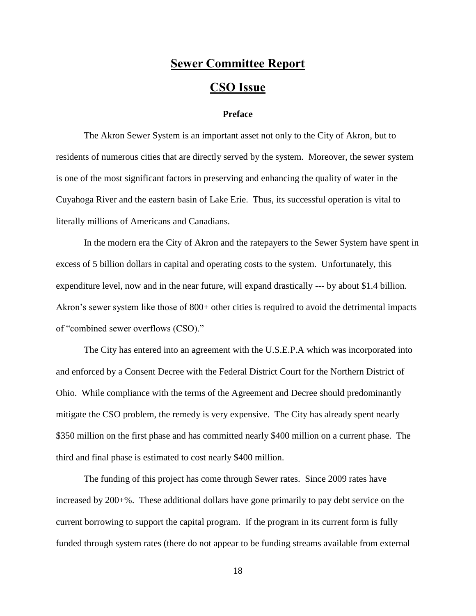## **Sewer Committee Report CSO Issue**

#### **Preface**

The Akron Sewer System is an important asset not only to the City of Akron, but to residents of numerous cities that are directly served by the system. Moreover, the sewer system is one of the most significant factors in preserving and enhancing the quality of water in the Cuyahoga River and the eastern basin of Lake Erie. Thus, its successful operation is vital to literally millions of Americans and Canadians.

In the modern era the City of Akron and the ratepayers to the Sewer System have spent in excess of 5 billion dollars in capital and operating costs to the system. Unfortunately, this expenditure level, now and in the near future, will expand drastically --- by about \$1.4 billion. Akron's sewer system like those of 800+ other cities is required to avoid the detrimental impacts of "combined sewer overflows (CSO)."

The City has entered into an agreement with the U.S.E.P.A which was incorporated into and enforced by a Consent Decree with the Federal District Court for the Northern District of Ohio. While compliance with the terms of the Agreement and Decree should predominantly mitigate the CSO problem, the remedy is very expensive. The City has already spent nearly \$350 million on the first phase and has committed nearly \$400 million on a current phase. The third and final phase is estimated to cost nearly \$400 million.

The funding of this project has come through Sewer rates. Since 2009 rates have increased by 200+%. These additional dollars have gone primarily to pay debt service on the current borrowing to support the capital program. If the program in its current form is fully funded through system rates (there do not appear to be funding streams available from external

18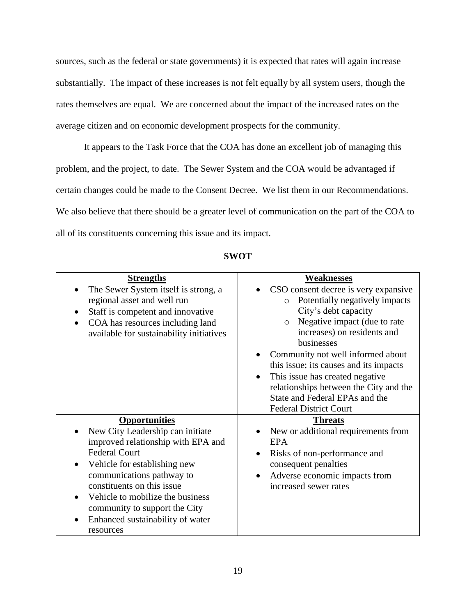sources, such as the federal or state governments) it is expected that rates will again increase substantially. The impact of these increases is not felt equally by all system users, though the rates themselves are equal. We are concerned about the impact of the increased rates on the average citizen and on economic development prospects for the community.

It appears to the Task Force that the COA has done an excellent job of managing this problem, and the project, to date. The Sewer System and the COA would be advantaged if certain changes could be made to the Consent Decree. We list them in our Recommendations. We also believe that there should be a greater level of communication on the part of the COA to all of its constituents concerning this issue and its impact.

| <b>Strengths</b>                                                                                                                                                                                                                                                                                                                        | <b>Weaknesses</b>                                                                                                                                                                                                                                                                                                                                                                                                                |
|-----------------------------------------------------------------------------------------------------------------------------------------------------------------------------------------------------------------------------------------------------------------------------------------------------------------------------------------|----------------------------------------------------------------------------------------------------------------------------------------------------------------------------------------------------------------------------------------------------------------------------------------------------------------------------------------------------------------------------------------------------------------------------------|
| The Sewer System itself is strong, a<br>regional asset and well run<br>Staff is competent and innovative<br>COA has resources including land<br>available for sustainability initiatives                                                                                                                                                | CSO consent decree is very expansive<br>Potentially negatively impacts<br>$\circ$<br>City's debt capacity<br>Negative impact (due to rate<br>$\circ$<br>increases) on residents and<br>businesses<br>Community not well informed about<br>this issue; its causes and its impacts<br>This issue has created negative<br>relationships between the City and the<br>State and Federal EPAs and the<br><b>Federal District Court</b> |
| <b>Opportunities</b><br>New City Leadership can initiate<br>improved relationship with EPA and<br><b>Federal Court</b><br>Vehicle for establishing new<br>communications pathway to<br>constituents on this issue<br>Vehicle to mobilize the business<br>community to support the City<br>Enhanced sustainability of water<br>resources | <b>Threats</b><br>New or additional requirements from<br><b>EPA</b><br>Risks of non-performance and<br>consequent penalties<br>Adverse economic impacts from<br>increased sewer rates                                                                                                                                                                                                                                            |

**SWOT**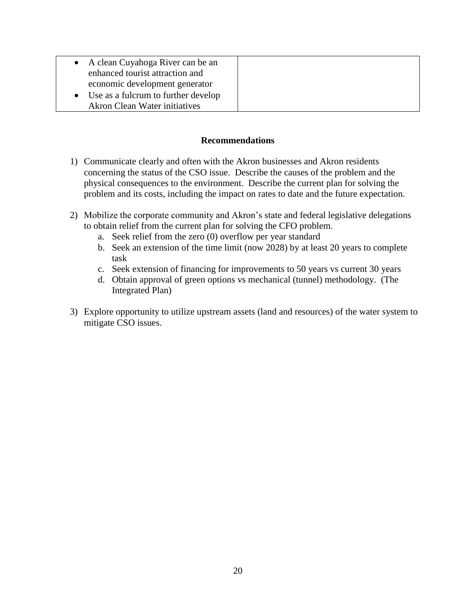|           | • A clean Cuyahoga River can be an<br>enhanced tourist attraction and |  |
|-----------|-----------------------------------------------------------------------|--|
|           | economic development generator                                        |  |
| $\bullet$ | Use as a fulcrum to further develop                                   |  |
|           | <b>Akron Clean Water initiatives</b>                                  |  |

#### **Recommendations**

- 1) Communicate clearly and often with the Akron businesses and Akron residents concerning the status of the CSO issue. Describe the causes of the problem and the physical consequences to the environment. Describe the current plan for solving the problem and its costs, including the impact on rates to date and the future expectation.
- 2) Mobilize the corporate community and Akron's state and federal legislative delegations to obtain relief from the current plan for solving the CFO problem.
	- a. Seek relief from the zero (0) overflow per year standard
	- b. Seek an extension of the time limit (now 2028) by at least 20 years to complete task
	- c. Seek extension of financing for improvements to 50 years vs current 30 years
	- d. Obtain approval of green options vs mechanical (tunnel) methodology. (The Integrated Plan)
- 3) Explore opportunity to utilize upstream assets (land and resources) of the water system to mitigate CSO issues.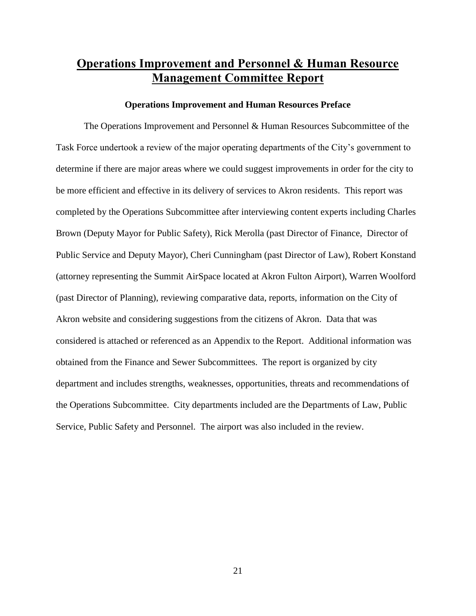## **Operations Improvement and Personnel & Human Resource Management Committee Report**

#### **Operations Improvement and Human Resources Preface**

The Operations Improvement and Personnel & Human Resources Subcommittee of the Task Force undertook a review of the major operating departments of the City's government to determine if there are major areas where we could suggest improvements in order for the city to be more efficient and effective in its delivery of services to Akron residents. This report was completed by the Operations Subcommittee after interviewing content experts including Charles Brown (Deputy Mayor for Public Safety), Rick Merolla (past Director of Finance, Director of Public Service and Deputy Mayor), Cheri Cunningham (past Director of Law), Robert Konstand (attorney representing the Summit AirSpace located at Akron Fulton Airport), Warren Woolford (past Director of Planning), reviewing comparative data, reports, information on the City of Akron website and considering suggestions from the citizens of Akron. Data that was considered is attached or referenced as an Appendix to the Report. Additional information was obtained from the Finance and Sewer Subcommittees. The report is organized by city department and includes strengths, weaknesses, opportunities, threats and recommendations of the Operations Subcommittee. City departments included are the Departments of Law, Public Service, Public Safety and Personnel. The airport was also included in the review.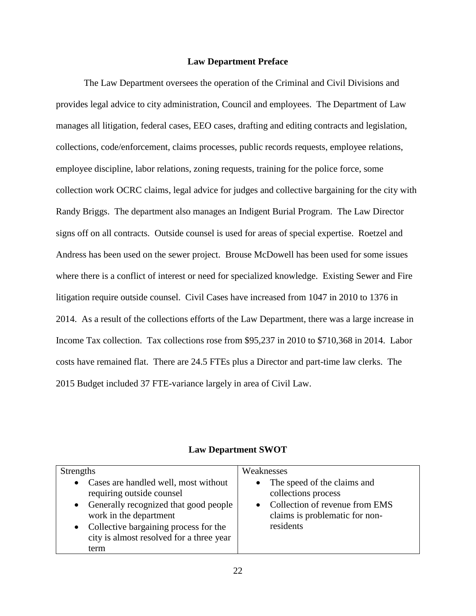#### **Law Department Preface**

The Law Department oversees the operation of the Criminal and Civil Divisions and provides legal advice to city administration, Council and employees. The Department of Law manages all litigation, federal cases, EEO cases, drafting and editing contracts and legislation, collections, code/enforcement, claims processes, public records requests, employee relations, employee discipline, labor relations, zoning requests, training for the police force, some collection work OCRC claims, legal advice for judges and collective bargaining for the city with Randy Briggs. The department also manages an Indigent Burial Program. The Law Director signs off on all contracts. Outside counsel is used for areas of special expertise. Roetzel and Andress has been used on the sewer project. Brouse McDowell has been used for some issues where there is a conflict of interest or need for specialized knowledge. Existing Sewer and Fire litigation require outside counsel. Civil Cases have increased from 1047 in 2010 to 1376 in 2014. As a result of the collections efforts of the Law Department, there was a large increase in Income Tax collection. Tax collections rose from \$95,237 in 2010 to \$710,368 in 2014. Labor costs have remained flat. There are 24.5 FTEs plus a Director and part-time law clerks. The 2015 Budget included 37 FTE-variance largely in area of Civil Law.

| <b>Strengths</b>                                                                                                                                                                                                                        | Weaknesses                                                                                                                              |
|-----------------------------------------------------------------------------------------------------------------------------------------------------------------------------------------------------------------------------------------|-----------------------------------------------------------------------------------------------------------------------------------------|
| • Cases are handled well, most without<br>requiring outside counsel<br>• Generally recognized that good people<br>work in the department<br>• Collective bargaining process for the<br>city is almost resolved for a three year<br>term | • The speed of the claims and<br>collections process<br>• Collection of revenue from EMS<br>claims is problematic for non-<br>residents |

#### **Law Department SWOT**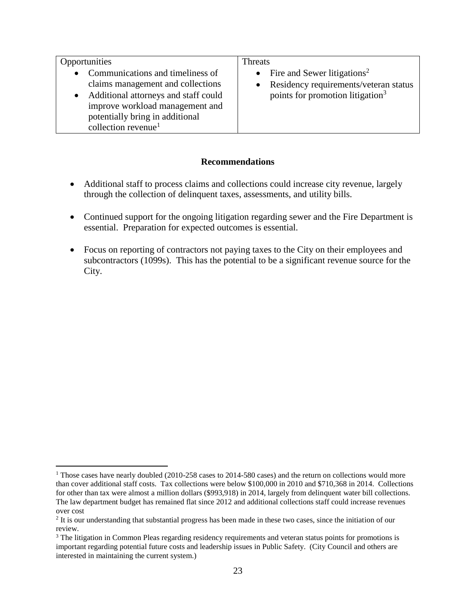| Opportunities                                                                                                                                                                                                            | Threats                                                                                                                                         |
|--------------------------------------------------------------------------------------------------------------------------------------------------------------------------------------------------------------------------|-------------------------------------------------------------------------------------------------------------------------------------------------|
| • Communications and timeliness of<br>claims management and collections<br>Additional attorneys and staff could<br>improve workload management and<br>potentially bring in additional<br>collection revenue <sup>1</sup> | • Fire and Sewer litigations <sup>2</sup><br>Residency requirements/veteran status<br>$\bullet$<br>points for promotion litigation <sup>3</sup> |

#### **Recommendations**

- Additional staff to process claims and collections could increase city revenue, largely through the collection of delinquent taxes, assessments, and utility bills.
- Continued support for the ongoing litigation regarding sewer and the Fire Department is essential. Preparation for expected outcomes is essential.
- Focus on reporting of contractors not paying taxes to the City on their employees and subcontractors (1099s). This has the potential to be a significant revenue source for the City.

 $\overline{a}$ <sup>1</sup> Those cases have nearly doubled (2010-258 cases to 2014-580 cases) and the return on collections would more than cover additional staff costs. Tax collections were below \$100,000 in 2010 and \$710,368 in 2014. Collections for other than tax were almost a million dollars (\$993,918) in 2014, largely from delinquent water bill collections. The law department budget has remained flat since 2012 and additional collections staff could increase revenues over cost

 $2$  It is our understanding that substantial progress has been made in these two cases, since the initiation of our review.

<sup>&</sup>lt;sup>3</sup> The litigation in Common Pleas regarding residency requirements and veteran status points for promotions is important regarding potential future costs and leadership issues in Public Safety. (City Council and others are interested in maintaining the current system.)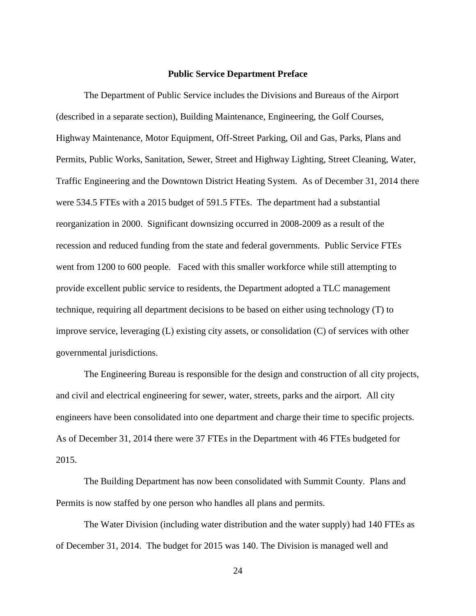#### **Public Service Department Preface**

The Department of Public Service includes the Divisions and Bureaus of the Airport (described in a separate section), Building Maintenance, Engineering, the Golf Courses, Highway Maintenance, Motor Equipment, Off-Street Parking, Oil and Gas, Parks, Plans and Permits, Public Works, Sanitation, Sewer, Street and Highway Lighting, Street Cleaning, Water, Traffic Engineering and the Downtown District Heating System. As of December 31, 2014 there were 534.5 FTEs with a 2015 budget of 591.5 FTEs. The department had a substantial reorganization in 2000. Significant downsizing occurred in 2008-2009 as a result of the recession and reduced funding from the state and federal governments. Public Service FTEs went from 1200 to 600 people. Faced with this smaller workforce while still attempting to provide excellent public service to residents, the Department adopted a TLC management technique, requiring all department decisions to be based on either using technology (T) to improve service, leveraging (L) existing city assets, or consolidation (C) of services with other governmental jurisdictions.

The Engineering Bureau is responsible for the design and construction of all city projects, and civil and electrical engineering for sewer, water, streets, parks and the airport. All city engineers have been consolidated into one department and charge their time to specific projects. As of December 31, 2014 there were 37 FTEs in the Department with 46 FTEs budgeted for 2015.

The Building Department has now been consolidated with Summit County. Plans and Permits is now staffed by one person who handles all plans and permits.

The Water Division (including water distribution and the water supply) had 140 FTEs as of December 31, 2014. The budget for 2015 was 140. The Division is managed well and

24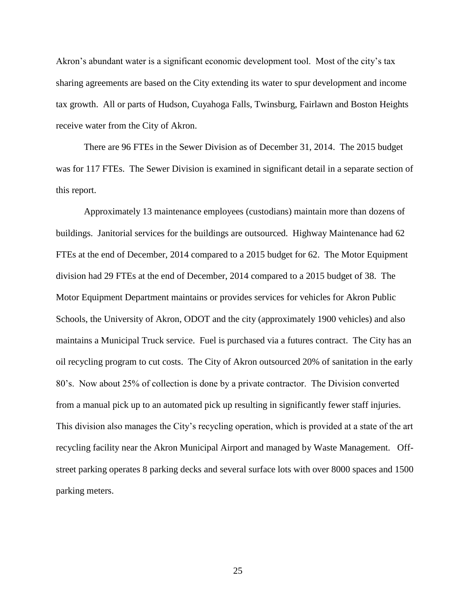Akron's abundant water is a significant economic development tool. Most of the city's tax sharing agreements are based on the City extending its water to spur development and income tax growth. All or parts of Hudson, Cuyahoga Falls, Twinsburg, Fairlawn and Boston Heights receive water from the City of Akron.

There are 96 FTEs in the Sewer Division as of December 31, 2014. The 2015 budget was for 117 FTEs. The Sewer Division is examined in significant detail in a separate section of this report.

Approximately 13 maintenance employees (custodians) maintain more than dozens of buildings. Janitorial services for the buildings are outsourced. Highway Maintenance had 62 FTEs at the end of December, 2014 compared to a 2015 budget for 62. The Motor Equipment division had 29 FTEs at the end of December, 2014 compared to a 2015 budget of 38. The Motor Equipment Department maintains or provides services for vehicles for Akron Public Schools, the University of Akron, ODOT and the city (approximately 1900 vehicles) and also maintains a Municipal Truck service. Fuel is purchased via a futures contract. The City has an oil recycling program to cut costs. The City of Akron outsourced 20% of sanitation in the early 80's. Now about 25% of collection is done by a private contractor. The Division converted from a manual pick up to an automated pick up resulting in significantly fewer staff injuries. This division also manages the City's recycling operation, which is provided at a state of the art recycling facility near the Akron Municipal Airport and managed by Waste Management. Offstreet parking operates 8 parking decks and several surface lots with over 8000 spaces and 1500 parking meters.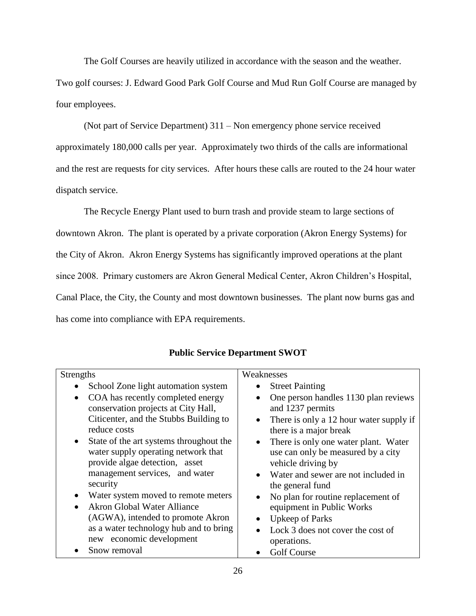The Golf Courses are heavily utilized in accordance with the season and the weather.

Two golf courses: J. Edward Good Park Golf Course and Mud Run Golf Course are managed by four employees.

(Not part of Service Department) 311 – Non emergency phone service received approximately 180,000 calls per year. Approximately two thirds of the calls are informational and the rest are requests for city services. After hours these calls are routed to the 24 hour water dispatch service.

The Recycle Energy Plant used to burn trash and provide steam to large sections of downtown Akron. The plant is operated by a private corporation (Akron Energy Systems) for the City of Akron. Akron Energy Systems has significantly improved operations at the plant since 2008. Primary customers are Akron General Medical Center, Akron Children's Hospital, Canal Place, the City, the County and most downtown businesses. The plant now burns gas and has come into compliance with EPA requirements.

| <b>Strengths</b>                                     | Weaknesses                                           |
|------------------------------------------------------|------------------------------------------------------|
| School Zone light automation system                  | <b>Street Painting</b><br>$\bullet$                  |
| COA has recently completed energy                    | One person handles 1130 plan reviews                 |
| conservation projects at City Hall,                  | and 1237 permits                                     |
| Citicenter, and the Stubbs Building to               | There is only a 12 hour water supply if<br>$\bullet$ |
| reduce costs                                         | there is a major break                               |
| State of the art systems throughout the<br>$\bullet$ | There is only one water plant. Water<br>$\bullet$    |
| water supply operating network that                  | use can only be measured by a city                   |
| provide algae detection, asset                       | vehicle driving by                                   |
| management services, and water                       | • Water and sewer are not included in                |
| security                                             | the general fund                                     |
| Water system moved to remote meters<br>$\bullet$     | No plan for routine replacement of                   |
| <b>Akron Global Water Alliance</b>                   | equipment in Public Works                            |
| (AGWA), intended to promote Akron                    | Upkeep of Parks                                      |
| as a water technology hub and to bring               | Lock 3 does not cover the cost of<br>$\bullet$       |
| new economic development                             | operations.                                          |
| Snow removal                                         | <b>Golf Course</b>                                   |

## **Public Service Department SWOT**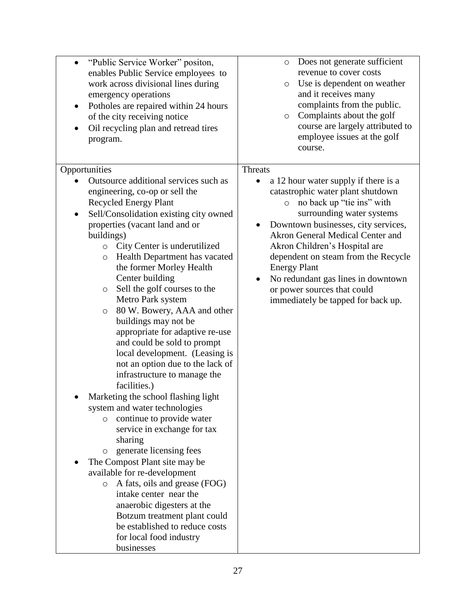| "Public Service Worker" positon,<br>$\bullet$<br>enables Public Service employees to<br>work across divisional lines during<br>emergency operations<br>Potholes are repaired within 24 hours<br>$\bullet$<br>of the city receiving notice<br>Oil recycling plan and retread tires<br>$\bullet$<br>program.                                                                                                                                                                                                                                                                                                                                                                                                                                                                                                                                                                                                                                                                                                                                                                                                                                                         | Does not generate sufficient<br>$\circ$<br>revenue to cover costs<br>Use is dependent on weather<br>$\circ$<br>and it receives many<br>complaints from the public.<br>Complaints about the golf<br>$\circ$<br>course are largely attributed to<br>employee issues at the golf<br>course.                                                                                                                                                              |
|--------------------------------------------------------------------------------------------------------------------------------------------------------------------------------------------------------------------------------------------------------------------------------------------------------------------------------------------------------------------------------------------------------------------------------------------------------------------------------------------------------------------------------------------------------------------------------------------------------------------------------------------------------------------------------------------------------------------------------------------------------------------------------------------------------------------------------------------------------------------------------------------------------------------------------------------------------------------------------------------------------------------------------------------------------------------------------------------------------------------------------------------------------------------|-------------------------------------------------------------------------------------------------------------------------------------------------------------------------------------------------------------------------------------------------------------------------------------------------------------------------------------------------------------------------------------------------------------------------------------------------------|
| Opportunities<br>Outsource additional services such as<br>engineering, co-op or sell the<br><b>Recycled Energy Plant</b><br>Sell/Consolidation existing city owned<br>properties (vacant land and or<br>buildings)<br>City Center is underutilized<br>$\circ$<br>Health Department has vacated<br>$\circ$<br>the former Morley Health<br>Center building<br>Sell the golf courses to the<br>$\circ$<br>Metro Park system<br>80 W. Bowery, AAA and other<br>$\circ$<br>buildings may not be<br>appropriate for adaptive re-use<br>and could be sold to prompt<br>local development. (Leasing is<br>not an option due to the lack of<br>infrastructure to manage the<br>facilities.)<br>Marketing the school flashing light<br>system and water technologies<br>continue to provide water<br>$\circ$<br>service in exchange for tax<br>sharing<br>generate licensing fees<br>$\circ$<br>The Compost Plant site may be<br>available for re-development<br>A fats, oils and grease (FOG)<br>$\circ$<br>intake center near the<br>anaerobic digesters at the<br>Botzum treatment plant could<br>be established to reduce costs<br>for local food industry<br>businesses | <b>Threats</b><br>a 12 hour water supply if there is a<br>catastrophic water plant shutdown<br>no back up "tie ins" with<br>$\circ$<br>surrounding water systems<br>Downtown businesses, city services,<br>Akron General Medical Center and<br>Akron Children's Hospital are<br>dependent on steam from the Recycle<br><b>Energy Plant</b><br>No redundant gas lines in downtown<br>or power sources that could<br>immediately be tapped for back up. |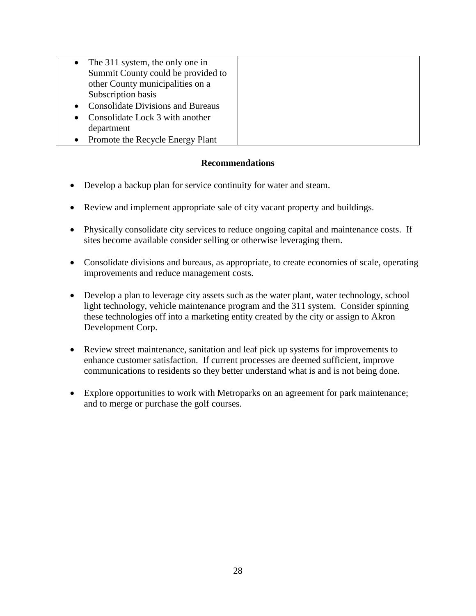|           | • The 311 system, the only one in        |
|-----------|------------------------------------------|
|           | Summit County could be provided to       |
|           | other County municipalities on a         |
|           | Subscription basis                       |
| $\bullet$ | <b>Consolidate Divisions and Bureaus</b> |
| $\bullet$ | Consolidate Lock 3 with another          |
|           | department                               |
| $\bullet$ | Promote the Recycle Energy Plant         |

#### **Recommendations**

- Develop a backup plan for service continuity for water and steam.
- Review and implement appropriate sale of city vacant property and buildings.
- Physically consolidate city services to reduce ongoing capital and maintenance costs. If sites become available consider selling or otherwise leveraging them.
- Consolidate divisions and bureaus, as appropriate, to create economies of scale, operating improvements and reduce management costs.
- Develop a plan to leverage city assets such as the water plant, water technology, school light technology, vehicle maintenance program and the 311 system. Consider spinning these technologies off into a marketing entity created by the city or assign to Akron Development Corp.
- Review street maintenance, sanitation and leaf pick up systems for improvements to enhance customer satisfaction. If current processes are deemed sufficient, improve communications to residents so they better understand what is and is not being done.
- Explore opportunities to work with Metroparks on an agreement for park maintenance; and to merge or purchase the golf courses.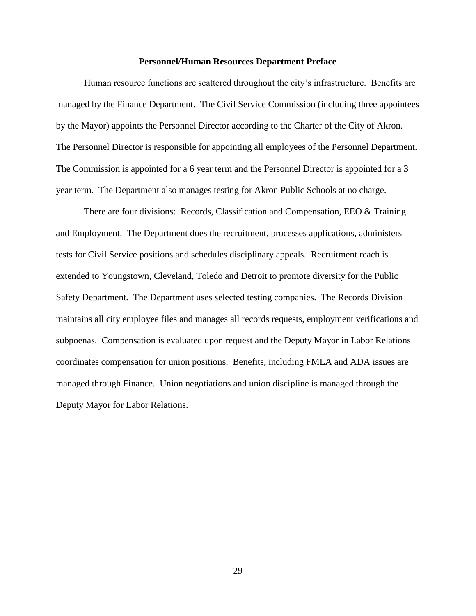#### **Personnel/Human Resources Department Preface**

Human resource functions are scattered throughout the city's infrastructure. Benefits are managed by the Finance Department. The Civil Service Commission (including three appointees by the Mayor) appoints the Personnel Director according to the Charter of the City of Akron. The Personnel Director is responsible for appointing all employees of the Personnel Department. The Commission is appointed for a 6 year term and the Personnel Director is appointed for a 3 year term. The Department also manages testing for Akron Public Schools at no charge.

There are four divisions: Records, Classification and Compensation, EEO & Training and Employment. The Department does the recruitment, processes applications, administers tests for Civil Service positions and schedules disciplinary appeals. Recruitment reach is extended to Youngstown, Cleveland, Toledo and Detroit to promote diversity for the Public Safety Department. The Department uses selected testing companies. The Records Division maintains all city employee files and manages all records requests, employment verifications and subpoenas. Compensation is evaluated upon request and the Deputy Mayor in Labor Relations coordinates compensation for union positions. Benefits, including FMLA and ADA issues are managed through Finance. Union negotiations and union discipline is managed through the Deputy Mayor for Labor Relations.

29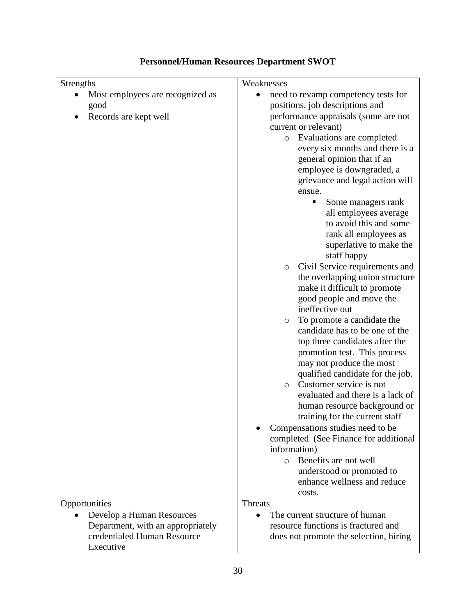| Strengths                                                                                                                   | Weaknesses                                                                                                                                                                                                                                                                                                                                                                                                                                                                                                                                                                                                                                                                                                                                                            |
|-----------------------------------------------------------------------------------------------------------------------------|-----------------------------------------------------------------------------------------------------------------------------------------------------------------------------------------------------------------------------------------------------------------------------------------------------------------------------------------------------------------------------------------------------------------------------------------------------------------------------------------------------------------------------------------------------------------------------------------------------------------------------------------------------------------------------------------------------------------------------------------------------------------------|
| Most employees are recognized as<br>good<br>Records are kept well                                                           | need to revamp competency tests for<br>positions, job descriptions and<br>performance appraisals (some are not<br>current or relevant)<br>o Evaluations are completed<br>every six months and there is a<br>general opinion that if an<br>employee is downgraded, a<br>grievance and legal action will<br>ensue.<br>٠<br>Some managers rank<br>all employees average<br>to avoid this and some<br>rank all employees as                                                                                                                                                                                                                                                                                                                                               |
|                                                                                                                             | superlative to make the<br>staff happy<br>Civil Service requirements and<br>$\circ$<br>the overlapping union structure<br>make it difficult to promote<br>good people and move the<br>ineffective out<br>To promote a candidate the<br>$\circ$<br>candidate has to be one of the<br>top three candidates after the<br>promotion test. This process<br>may not produce the most<br>qualified candidate for the job.<br>Customer service is not<br>$\circ$<br>evaluated and there is a lack of<br>human resource background or<br>training for the current staff<br>Compensations studies need to be<br>completed (See Finance for additional<br>information)<br>Benefits are not well<br>$\circ$<br>understood or promoted to<br>enhance wellness and reduce<br>costs. |
| Opportunities<br>Develop a Human Resources<br>Department, with an appropriately<br>credentialed Human Resource<br>Executive | Threats<br>The current structure of human<br>resource functions is fractured and<br>does not promote the selection, hiring                                                                                                                                                                                                                                                                                                                                                                                                                                                                                                                                                                                                                                            |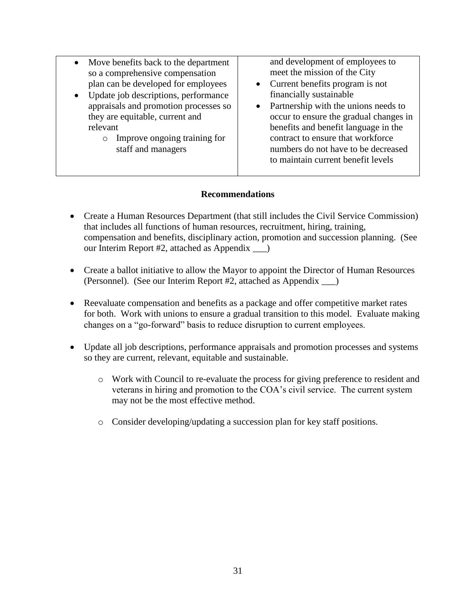| $\bullet$ | Move benefits back to the department |
|-----------|--------------------------------------|
|           | so a comprehensive compensation      |
|           | plan can be developed for employees  |

- Update job descriptions, performance appraisals and promotion processes so they are equitable, current and relevant
	- o Improve ongoing training for staff and managers

and development of employees to meet the mission of the City

- Current benefits program is not financially sustainable
- Partnership with the unions needs to occur to ensure the gradual changes in benefits and benefit language in the contract to ensure that workforce numbers do not have to be decreased to maintain current benefit levels

## **Recommendations**

- Create a Human Resources Department (that still includes the Civil Service Commission) that includes all functions of human resources, recruitment, hiring, training, compensation and benefits, disciplinary action, promotion and succession planning. (See our Interim Report #2, attached as Appendix \_\_\_)
- Create a ballot initiative to allow the Mayor to appoint the Director of Human Resources (Personnel). (See our Interim Report #2, attached as Appendix \_\_\_)
- Reevaluate compensation and benefits as a package and offer competitive market rates for both. Work with unions to ensure a gradual transition to this model. Evaluate making changes on a "go-forward" basis to reduce disruption to current employees.
- Update all job descriptions, performance appraisals and promotion processes and systems so they are current, relevant, equitable and sustainable.
	- o Work with Council to re-evaluate the process for giving preference to resident and veterans in hiring and promotion to the COA's civil service. The current system may not be the most effective method.
	- o Consider developing/updating a succession plan for key staff positions.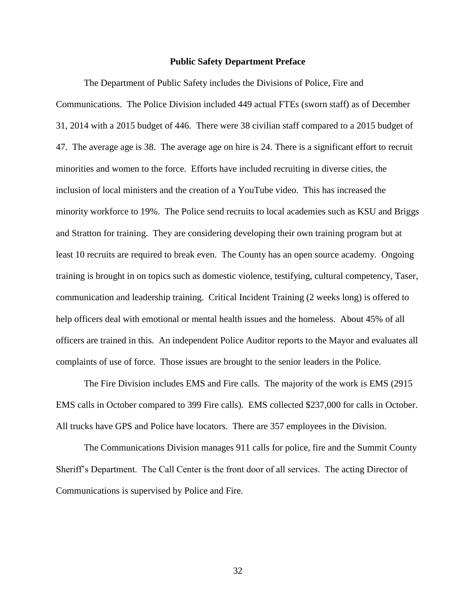#### **Public Safety Department Preface**

The Department of Public Safety includes the Divisions of Police, Fire and Communications. The Police Division included 449 actual FTEs (sworn staff) as of December 31, 2014 with a 2015 budget of 446. There were 38 civilian staff compared to a 2015 budget of 47. The average age is 38. The average age on hire is 24. There is a significant effort to recruit minorities and women to the force. Efforts have included recruiting in diverse cities, the inclusion of local ministers and the creation of a YouTube video. This has increased the minority workforce to 19%. The Police send recruits to local academies such as KSU and Briggs and Stratton for training. They are considering developing their own training program but at least 10 recruits are required to break even. The County has an open source academy. Ongoing training is brought in on topics such as domestic violence, testifying, cultural competency, Taser, communication and leadership training. Critical Incident Training (2 weeks long) is offered to help officers deal with emotional or mental health issues and the homeless. About 45% of all officers are trained in this. An independent Police Auditor reports to the Mayor and evaluates all complaints of use of force. Those issues are brought to the senior leaders in the Police.

The Fire Division includes EMS and Fire calls. The majority of the work is EMS (2915 EMS calls in October compared to 399 Fire calls). EMS collected \$237,000 for calls in October. All trucks have GPS and Police have locators. There are 357 employees in the Division.

The Communications Division manages 911 calls for police, fire and the Summit County Sheriff's Department. The Call Center is the front door of all services. The acting Director of Communications is supervised by Police and Fire.

32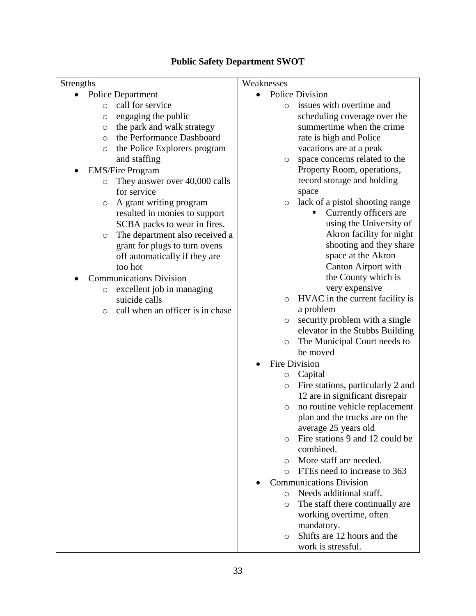## **Public Safety Department SWOT**

| Strengths                                   | Weaknesses                                   |
|---------------------------------------------|----------------------------------------------|
| <b>Police Department</b>                    | <b>Police Division</b>                       |
| call for service<br>$\circ$                 | issues with overtime and<br>$\circ$          |
| engaging the public<br>O                    | scheduling coverage over the                 |
| the park and walk strategy<br>O             | summertime when the crime                    |
| the Performance Dashboard<br>$\circ$        | rate is high and Police                      |
| the Police Explorers program<br>$\circ$     | vacations are at a peak                      |
| and staffing                                | space concerns related to the<br>$\circ$     |
| <b>EMS/Fire Program</b>                     | Property Room, operations,                   |
| They answer over 40,000 calls<br>$\circ$    | record storage and holding                   |
| for service                                 | space                                        |
| A grant writing program<br>$\circ$          | lack of a pistol shooting range<br>$\circ$   |
| resulted in monies to support               | Currently officers are                       |
| SCBA packs to wear in fires.                | using the University of                      |
| The department also received a<br>$\circ$   | Akron facility for night                     |
| grant for plugs to turn ovens               | shooting and they share                      |
| off automatically if they are               | space at the Akron                           |
| too hot                                     | Canton Airport with                          |
| <b>Communications Division</b>              | the County which is                          |
| excellent job in managing<br>$\circ$        | very expensive                               |
| suicide calls                               | HVAC in the current facility is<br>$\circ$   |
| call when an officer is in chase<br>$\circ$ | a problem                                    |
|                                             | security problem with a single<br>$\circ$    |
|                                             | elevator in the Stubbs Building              |
|                                             | The Municipal Court needs to<br>$\circ$      |
|                                             | be moved                                     |
|                                             | Fire Division                                |
|                                             | Capital<br>$\circ$                           |
|                                             | Fire stations, particularly 2 and<br>$\circ$ |
|                                             | 12 are in significant disrepair              |
|                                             | no routine vehicle replacement<br>$\circ$    |
|                                             | plan and the trucks are on the               |
|                                             | average 25 years old                         |
|                                             | Fire stations 9 and 12 could be              |
|                                             | combined.                                    |
|                                             | More staff are needed.<br>$\circ$            |
|                                             | FTEs need to increase to 363<br>$\circ$      |
|                                             | <b>Communications Division</b>               |
|                                             | Needs additional staff.<br>$\circ$           |
|                                             | The staff there continually are<br>$\circ$   |
|                                             | working overtime, often                      |
|                                             | mandatory.                                   |
|                                             | Shifts are 12 hours and the<br>$\circ$       |
|                                             | work is stressful.                           |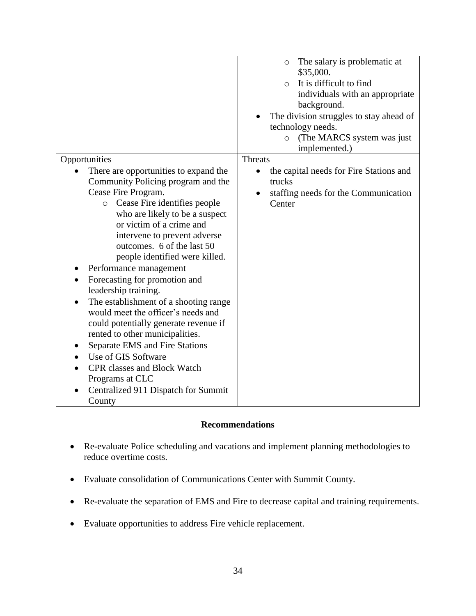|                                                                          | The salary is problematic at<br>$\circ$<br>\$35,000.<br>It is difficult to find<br>$\circ$<br>individuals with an appropriate<br>background.<br>The division struggles to stay ahead of<br>technology needs.<br>(The MARCS system was just<br>$\circ$<br>implemented.) |
|--------------------------------------------------------------------------|------------------------------------------------------------------------------------------------------------------------------------------------------------------------------------------------------------------------------------------------------------------------|
| Opportunities                                                            | Threats                                                                                                                                                                                                                                                                |
| There are opportunities to expand the                                    | the capital needs for Fire Stations and<br>$\bullet$                                                                                                                                                                                                                   |
| Community Policing program and the                                       | trucks                                                                                                                                                                                                                                                                 |
| Cease Fire Program.                                                      | staffing needs for the Communication<br>$\bullet$                                                                                                                                                                                                                      |
| o Cease Fire identifies people<br>who are likely to be a suspect         | Center                                                                                                                                                                                                                                                                 |
| or victim of a crime and                                                 |                                                                                                                                                                                                                                                                        |
| intervene to prevent adverse                                             |                                                                                                                                                                                                                                                                        |
| outcomes. 6 of the last 50                                               |                                                                                                                                                                                                                                                                        |
| people identified were killed.                                           |                                                                                                                                                                                                                                                                        |
| Performance management                                                   |                                                                                                                                                                                                                                                                        |
| Forecasting for promotion and<br>$\bullet$                               |                                                                                                                                                                                                                                                                        |
| leadership training.                                                     |                                                                                                                                                                                                                                                                        |
| The establishment of a shooting range<br>$\bullet$                       |                                                                                                                                                                                                                                                                        |
| would meet the officer's needs and                                       |                                                                                                                                                                                                                                                                        |
| could potentially generate revenue if<br>rented to other municipalities. |                                                                                                                                                                                                                                                                        |
| Separate EMS and Fire Stations                                           |                                                                                                                                                                                                                                                                        |
| Use of GIS Software                                                      |                                                                                                                                                                                                                                                                        |
| <b>CPR</b> classes and Block Watch                                       |                                                                                                                                                                                                                                                                        |
| Programs at CLC                                                          |                                                                                                                                                                                                                                                                        |
| Centralized 911 Dispatch for Summit                                      |                                                                                                                                                                                                                                                                        |
| County                                                                   |                                                                                                                                                                                                                                                                        |

### **Recommendations**

- Re-evaluate Police scheduling and vacations and implement planning methodologies to reduce overtime costs.
- Evaluate consolidation of Communications Center with Summit County.
- Re-evaluate the separation of EMS and Fire to decrease capital and training requirements.
- Evaluate opportunities to address Fire vehicle replacement.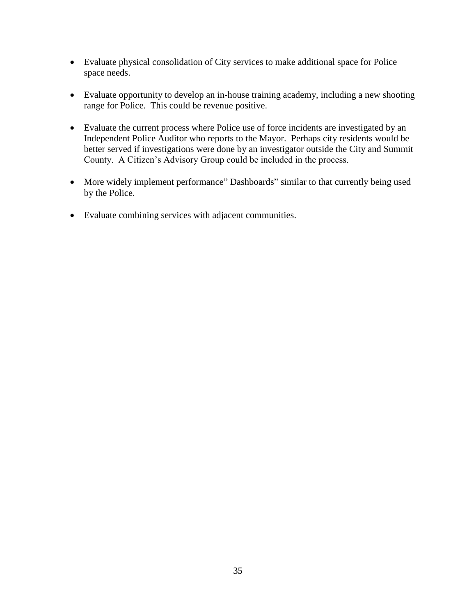- Evaluate physical consolidation of City services to make additional space for Police space needs.
- Evaluate opportunity to develop an in-house training academy, including a new shooting range for Police. This could be revenue positive.
- Evaluate the current process where Police use of force incidents are investigated by an Independent Police Auditor who reports to the Mayor. Perhaps city residents would be better served if investigations were done by an investigator outside the City and Summit County. A Citizen's Advisory Group could be included in the process.
- More widely implement performance" Dashboards" similar to that currently being used by the Police.
- Evaluate combining services with adjacent communities.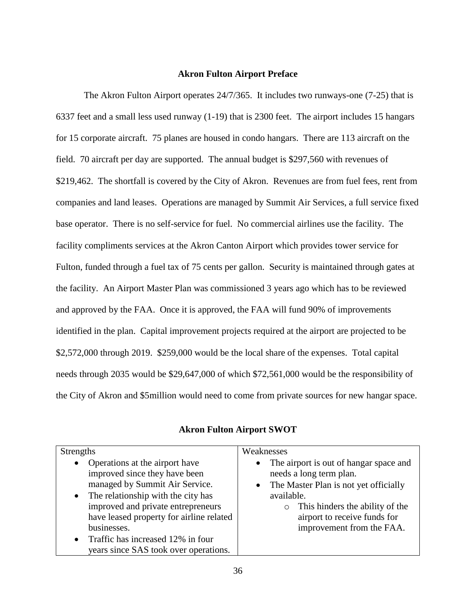#### **Akron Fulton Airport Preface**

The Akron Fulton Airport operates 24/7/365. It includes two runways-one (7-25) that is 6337 feet and a small less used runway (1-19) that is 2300 feet. The airport includes 15 hangars for 15 corporate aircraft. 75 planes are housed in condo hangars. There are 113 aircraft on the field. 70 aircraft per day are supported. The annual budget is \$297,560 with revenues of \$219,462. The shortfall is covered by the City of Akron. Revenues are from fuel fees, rent from companies and land leases. Operations are managed by Summit Air Services, a full service fixed base operator. There is no self-service for fuel. No commercial airlines use the facility. The facility compliments services at the Akron Canton Airport which provides tower service for Fulton, funded through a fuel tax of 75 cents per gallon. Security is maintained through gates at the facility. An Airport Master Plan was commissioned 3 years ago which has to be reviewed and approved by the FAA. Once it is approved, the FAA will fund 90% of improvements identified in the plan. Capital improvement projects required at the airport are projected to be \$2,572,000 through 2019. \$259,000 would be the local share of the expenses. Total capital needs through 2035 would be \$29,647,000 of which \$72,561,000 would be the responsibility of the City of Akron and \$5million would need to come from private sources for new hangar space.

| <b>Akron Fulton Airport SWOT</b> |  |
|----------------------------------|--|
|----------------------------------|--|

| <b>Strengths</b>                                                                                                                                                                                                                                                                                                                                           | Weaknesses                                                                                                                                                                                                                              |
|------------------------------------------------------------------------------------------------------------------------------------------------------------------------------------------------------------------------------------------------------------------------------------------------------------------------------------------------------------|-----------------------------------------------------------------------------------------------------------------------------------------------------------------------------------------------------------------------------------------|
| Operations at the airport have<br>$\bullet$<br>improved since they have been<br>managed by Summit Air Service.<br>$\bullet$ The relationship with the city has<br>improved and private entrepreneurs<br>have leased property for airline related<br>businesses.<br>Traffic has increased 12% in four<br>$\bullet$<br>years since SAS took over operations. | • The airport is out of hangar space and<br>needs a long term plan.<br>• The Master Plan is not yet officially<br>available.<br>This hinders the ability of the<br>$\circ$<br>airport to receive funds for<br>improvement from the FAA. |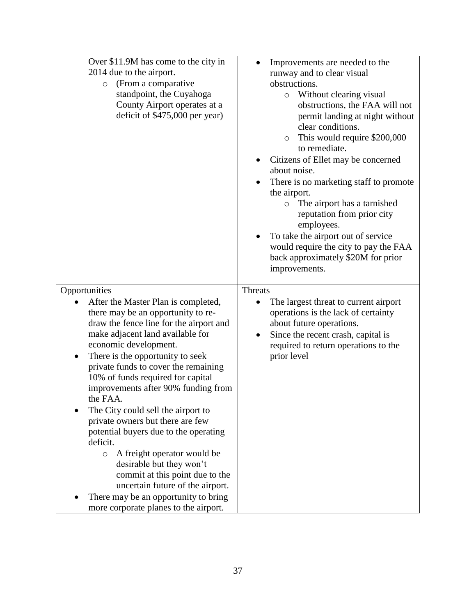| Over \$11.9M has come to the city in<br>2014 due to the airport.<br>(From a comparative<br>$\circ$<br>standpoint, the Cuyahoga<br>County Airport operates at a<br>deficit of $$475,000$ per year)                                                                                                                                                                                                                                                                                                                                                                                                                                                                                                                               | Improvements are needed to the<br>$\bullet$<br>runway and to clear visual<br>obstructions.<br>Without clearing visual<br>$\circ$<br>obstructions, the FAA will not<br>permit landing at night without<br>clear conditions.<br>This would require \$200,000<br>$\circ$<br>to remediate.<br>Citizens of Ellet may be concerned<br>about noise.<br>There is no marketing staff to promote<br>the airport.<br>The airport has a tarnished<br>$\circ$<br>reputation from prior city<br>employees.<br>To take the airport out of service<br>would require the city to pay the FAA<br>back approximately \$20M for prior<br>improvements. |
|---------------------------------------------------------------------------------------------------------------------------------------------------------------------------------------------------------------------------------------------------------------------------------------------------------------------------------------------------------------------------------------------------------------------------------------------------------------------------------------------------------------------------------------------------------------------------------------------------------------------------------------------------------------------------------------------------------------------------------|------------------------------------------------------------------------------------------------------------------------------------------------------------------------------------------------------------------------------------------------------------------------------------------------------------------------------------------------------------------------------------------------------------------------------------------------------------------------------------------------------------------------------------------------------------------------------------------------------------------------------------|
| Opportunities                                                                                                                                                                                                                                                                                                                                                                                                                                                                                                                                                                                                                                                                                                                   | <b>Threats</b>                                                                                                                                                                                                                                                                                                                                                                                                                                                                                                                                                                                                                     |
| After the Master Plan is completed,<br>there may be an opportunity to re-<br>draw the fence line for the airport and<br>make adjacent land available for<br>economic development.<br>There is the opportunity to seek<br>$\bullet$<br>private funds to cover the remaining<br>10% of funds required for capital<br>improvements after 90% funding from<br>the FAA.<br>The City could sell the airport to<br>private owners but there are few<br>potential buyers due to the operating<br>deficit.<br>A freight operator would be<br>$\circ$<br>desirable but they won't<br>commit at this point due to the<br>uncertain future of the airport.<br>There may be an opportunity to bring<br>more corporate planes to the airport. | The largest threat to current airport<br>$\bullet$<br>operations is the lack of certainty<br>about future operations.<br>Since the recent crash, capital is<br>$\bullet$<br>required to return operations to the<br>prior level                                                                                                                                                                                                                                                                                                                                                                                                    |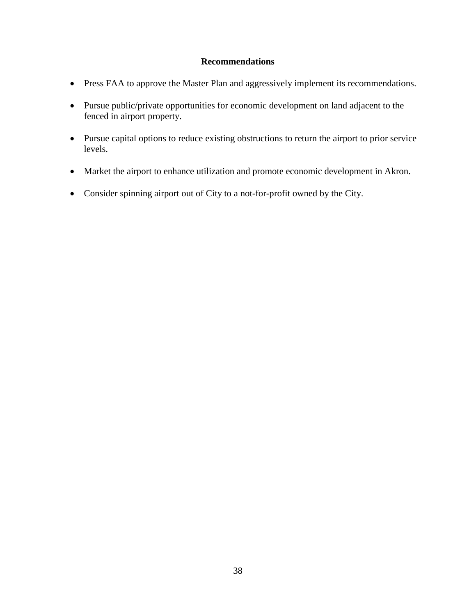## **Recommendations**

- Press FAA to approve the Master Plan and aggressively implement its recommendations.
- Pursue public/private opportunities for economic development on land adjacent to the fenced in airport property.
- Pursue capital options to reduce existing obstructions to return the airport to prior service levels.
- Market the airport to enhance utilization and promote economic development in Akron.
- Consider spinning airport out of City to a not-for-profit owned by the City.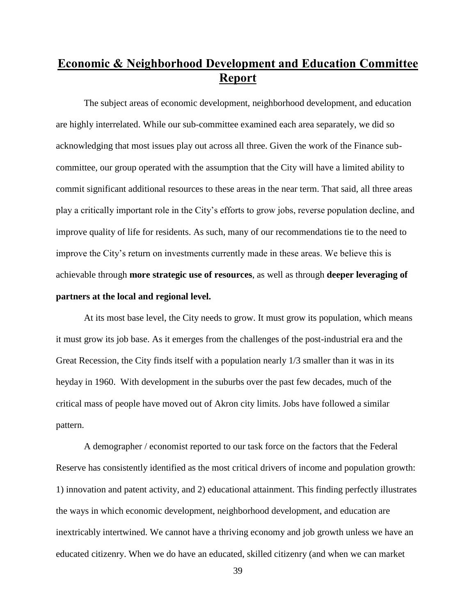## **Economic & Neighborhood Development and Education Committee Report**

The subject areas of economic development, neighborhood development, and education are highly interrelated. While our sub-committee examined each area separately, we did so acknowledging that most issues play out across all three. Given the work of the Finance subcommittee, our group operated with the assumption that the City will have a limited ability to commit significant additional resources to these areas in the near term. That said, all three areas play a critically important role in the City's efforts to grow jobs, reverse population decline, and improve quality of life for residents. As such, many of our recommendations tie to the need to improve the City's return on investments currently made in these areas. We believe this is achievable through **more strategic use of resources**, as well as through **deeper leveraging of partners at the local and regional level.** 

At its most base level, the City needs to grow. It must grow its population, which means it must grow its job base. As it emerges from the challenges of the post-industrial era and the Great Recession, the City finds itself with a population nearly 1/3 smaller than it was in its heyday in 1960. With development in the suburbs over the past few decades, much of the critical mass of people have moved out of Akron city limits. Jobs have followed a similar pattern.

A demographer / economist reported to our task force on the factors that the Federal Reserve has consistently identified as the most critical drivers of income and population growth: 1) innovation and patent activity, and 2) educational attainment. This finding perfectly illustrates the ways in which economic development, neighborhood development, and education are inextricably intertwined. We cannot have a thriving economy and job growth unless we have an educated citizenry. When we do have an educated, skilled citizenry (and when we can market

39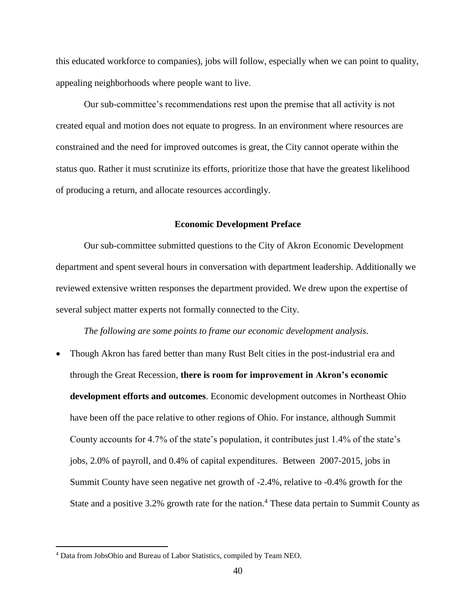this educated workforce to companies), jobs will follow, especially when we can point to quality, appealing neighborhoods where people want to live.

Our sub-committee's recommendations rest upon the premise that all activity is not created equal and motion does not equate to progress. In an environment where resources are constrained and the need for improved outcomes is great, the City cannot operate within the status quo. Rather it must scrutinize its efforts, prioritize those that have the greatest likelihood of producing a return, and allocate resources accordingly.

#### **Economic Development Preface**

Our sub-committee submitted questions to the City of Akron Economic Development department and spent several hours in conversation with department leadership. Additionally we reviewed extensive written responses the department provided. We drew upon the expertise of several subject matter experts not formally connected to the City.

*The following are some points to frame our economic development analysis.* 

 Though Akron has fared better than many Rust Belt cities in the post-industrial era and through the Great Recession, **there is room for improvement in Akron's economic development efforts and outcomes**. Economic development outcomes in Northeast Ohio have been off the pace relative to other regions of Ohio. For instance, although Summit County accounts for 4.7% of the state's population, it contributes just 1.4% of the state's jobs, 2.0% of payroll, and 0.4% of capital expenditures. Between 2007-2015, jobs in Summit County have seen negative net growth of -2.4%, relative to -0.4% growth for the State and a positive 3.2% growth rate for the nation.<sup>4</sup> These data pertain to Summit County as

 $\overline{a}$ 

<sup>4</sup> Data from JobsOhio and Bureau of Labor Statistics, compiled by Team NEO.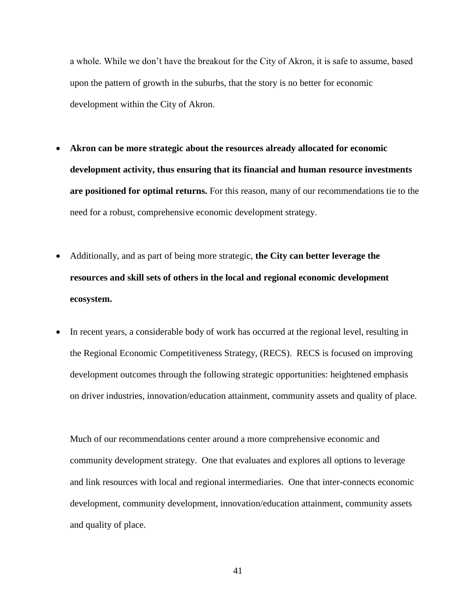a whole. While we don't have the breakout for the City of Akron, it is safe to assume, based upon the pattern of growth in the suburbs, that the story is no better for economic development within the City of Akron.

- **Akron can be more strategic about the resources already allocated for economic development activity, thus ensuring that its financial and human resource investments are positioned for optimal returns.** For this reason, many of our recommendations tie to the need for a robust, comprehensive economic development strategy.
- Additionally, and as part of being more strategic, **the City can better leverage the resources and skill sets of others in the local and regional economic development ecosystem.**
- In recent years, a considerable body of work has occurred at the regional level, resulting in the Regional Economic Competitiveness Strategy, (RECS). RECS is focused on improving development outcomes through the following strategic opportunities: heightened emphasis on driver industries, innovation/education attainment, community assets and quality of place.

Much of our recommendations center around a more comprehensive economic and community development strategy. One that evaluates and explores all options to leverage and link resources with local and regional intermediaries. One that inter-connects economic development, community development, innovation/education attainment, community assets and quality of place.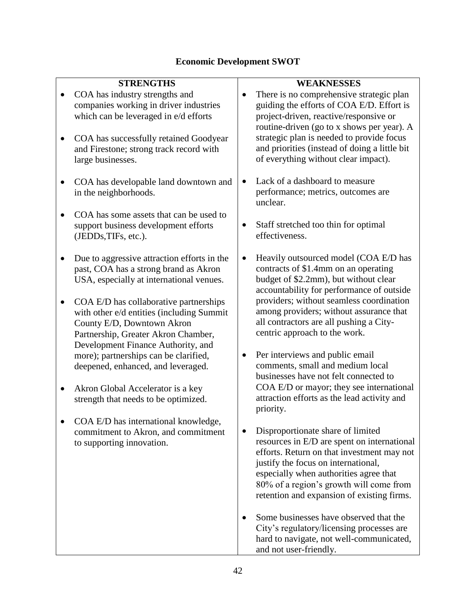## **Economic Development SWOT**

|           | <b>STRENGTHS</b>                                                                                                                                                                               |           | <b>WEAKNESSES</b>                                                                                                                                                                                                    |
|-----------|------------------------------------------------------------------------------------------------------------------------------------------------------------------------------------------------|-----------|----------------------------------------------------------------------------------------------------------------------------------------------------------------------------------------------------------------------|
| $\bullet$ | COA has industry strengths and<br>companies working in driver industries<br>which can be leveraged in e/d efforts                                                                              | $\bullet$ | There is no comprehensive strategic plan<br>guiding the efforts of COA E/D. Effort is<br>project-driven, reactive/responsive or<br>routine-driven (go to x shows per year). A                                        |
|           | COA has successfully retained Goodyear<br>and Firestone; strong track record with<br>large businesses.                                                                                         |           | strategic plan is needed to provide focus<br>and priorities (instead of doing a little bit<br>of everything without clear impact).                                                                                   |
|           | COA has developable land downtown and<br>in the neighborhoods.                                                                                                                                 | $\bullet$ | Lack of a dashboard to measure<br>performance; metrics, outcomes are<br>unclear.                                                                                                                                     |
|           | COA has some assets that can be used to<br>support business development efforts<br>(JEDDs, TIFs, etc.).                                                                                        |           | Staff stretched too thin for optimal<br>effectiveness.                                                                                                                                                               |
|           | Due to aggressive attraction efforts in the<br>past, COA has a strong brand as Akron<br>USA, especially at international venues.                                                               |           | Heavily outsourced model (COA E/D has<br>contracts of \$1.4mm on an operating<br>budget of \$2.2mm), but without clear<br>accountability for performance of outside                                                  |
|           | COA E/D has collaborative partnerships<br>with other e/d entities (including Summit<br>County E/D, Downtown Akron<br>Partnership, Greater Akron Chamber,<br>Development Finance Authority, and |           | providers; without seamless coordination<br>among providers; without assurance that<br>all contractors are all pushing a City-<br>centric approach to the work.                                                      |
|           | more); partnerships can be clarified,<br>deepened, enhanced, and leveraged.                                                                                                                    | $\bullet$ | Per interviews and public email<br>comments, small and medium local<br>businesses have not felt connected to                                                                                                         |
|           | Akron Global Accelerator is a key<br>strength that needs to be optimized.                                                                                                                      |           | COA E/D or mayor; they see international<br>attraction efforts as the lead activity and<br>priority.                                                                                                                 |
|           | COA E/D has international knowledge,<br>commitment to Akron, and commitment<br>to supporting innovation.                                                                                       | $\bullet$ | Disproportionate share of limited<br>resources in E/D are spent on international                                                                                                                                     |
|           |                                                                                                                                                                                                |           | efforts. Return on that investment may not<br>justify the focus on international,<br>especially when authorities agree that<br>80% of a region's growth will come from<br>retention and expansion of existing firms. |
|           |                                                                                                                                                                                                |           | Some businesses have observed that the<br>City's regulatory/licensing processes are<br>hard to navigate, not well-communicated,<br>and not user-friendly.                                                            |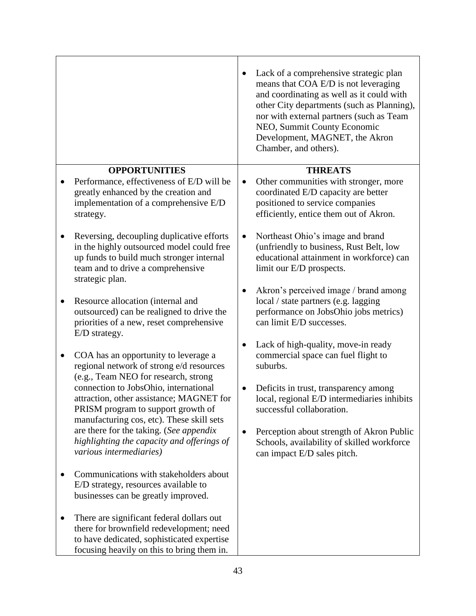|                                                                                                                                                                                            | Lack of a comprehensive strategic plan<br>means that COA E/D is not leveraging<br>and coordinating as well as it could with<br>other City departments (such as Planning),<br>nor with external partners (such as Team<br>NEO, Summit County Economic<br>Development, MAGNET, the Akron<br>Chamber, and others). |
|--------------------------------------------------------------------------------------------------------------------------------------------------------------------------------------------|-----------------------------------------------------------------------------------------------------------------------------------------------------------------------------------------------------------------------------------------------------------------------------------------------------------------|
| <b>OPPORTUNITIES</b>                                                                                                                                                                       | <b>THREATS</b>                                                                                                                                                                                                                                                                                                  |
| Performance, effectiveness of E/D will be<br>greatly enhanced by the creation and<br>implementation of a comprehensive E/D<br>strategy.                                                    | Other communities with stronger, more<br>coordinated E/D capacity are better<br>positioned to service companies<br>efficiently, entice them out of Akron.                                                                                                                                                       |
| Reversing, decoupling duplicative efforts<br>in the highly outsourced model could free<br>up funds to build much stronger internal<br>team and to drive a comprehensive<br>strategic plan. | Northeast Ohio's image and brand<br>$\bullet$<br>(unfriendly to business, Rust Belt, low<br>educational attainment in workforce) can<br>limit our E/D prospects.                                                                                                                                                |
| Resource allocation (internal and<br>٠<br>outsourced) can be realigned to drive the<br>priorities of a new, reset comprehensive<br>E/D strategy.                                           | Akron's perceived image / brand among<br>local / state partners (e.g. lagging<br>performance on JobsOhio jobs metrics)<br>can limit E/D successes.                                                                                                                                                              |
| COA has an opportunity to leverage a<br>$\bullet$<br>regional network of strong e/d resources<br>(e.g., Team NEO for research, strong                                                      | Lack of high-quality, move-in ready<br>commercial space can fuel flight to<br>suburbs.                                                                                                                                                                                                                          |
| connection to JobsOhio, international<br>attraction, other assistance; MAGNET for<br>PRISM program to support growth of<br>manufacturing cos, etc). These skill sets                       | Deficits in trust, transparency among<br>$\bullet$<br>local, regional E/D intermediaries inhibits<br>successful collaboration.                                                                                                                                                                                  |
| are there for the taking. (See appendix<br>highlighting the capacity and offerings of<br>various intermediaries)                                                                           | Perception about strength of Akron Public<br>٠<br>Schools, availability of skilled workforce<br>can impact E/D sales pitch.                                                                                                                                                                                     |
| Communications with stakeholders about<br>E/D strategy, resources available to<br>businesses can be greatly improved.                                                                      |                                                                                                                                                                                                                                                                                                                 |
| There are significant federal dollars out<br>there for brownfield redevelopment; need<br>to have dedicated, sophisticated expertise<br>focusing heavily on this to bring them in.          |                                                                                                                                                                                                                                                                                                                 |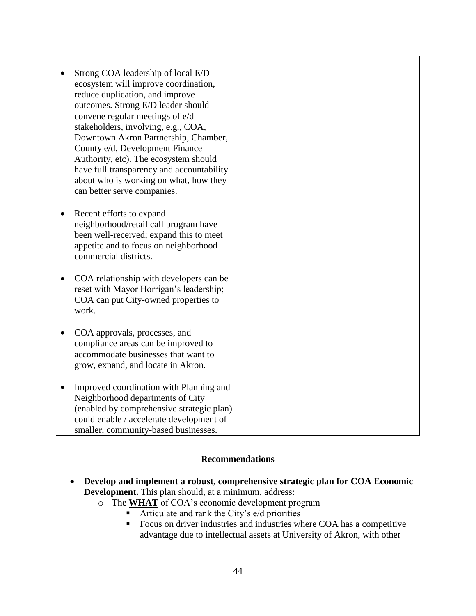| Strong COA leadership of local E/D<br>ecosystem will improve coordination,<br>reduce duplication, and improve<br>outcomes. Strong E/D leader should<br>convene regular meetings of e/d<br>stakeholders, involving, e.g., COA,<br>Downtown Akron Partnership, Chamber,<br>County e/d, Development Finance<br>Authority, etc). The ecosystem should<br>have full transparency and accountability<br>about who is working on what, how they<br>can better serve companies. |
|-------------------------------------------------------------------------------------------------------------------------------------------------------------------------------------------------------------------------------------------------------------------------------------------------------------------------------------------------------------------------------------------------------------------------------------------------------------------------|
| Recent efforts to expand<br>$\bullet$<br>neighborhood/retail call program have<br>been well-received; expand this to meet<br>appetite and to focus on neighborhood<br>commercial districts.                                                                                                                                                                                                                                                                             |
| COA relationship with developers can be<br>$\bullet$<br>reset with Mayor Horrigan's leadership;<br>COA can put City-owned properties to<br>work.                                                                                                                                                                                                                                                                                                                        |
| COA approvals, processes, and<br>$\bullet$<br>compliance areas can be improved to<br>accommodate businesses that want to<br>grow, expand, and locate in Akron.                                                                                                                                                                                                                                                                                                          |
| Improved coordination with Planning and<br>$\bullet$<br>Neighborhood departments of City<br>(enabled by comprehensive strategic plan)<br>could enable / accelerate development of<br>smaller, community-based businesses.                                                                                                                                                                                                                                               |

 $\mathsf{l}$ 

#### **Recommendations**

- **Develop and implement a robust, comprehensive strategic plan for COA Economic Development.** This plan should, at a minimum, address:
	- o The **WHAT** of COA's economic development program
		- **Articulate and rank the City's e/d priorities**
		- Focus on driver industries and industries where COA has a competitive advantage due to intellectual assets at University of Akron, with other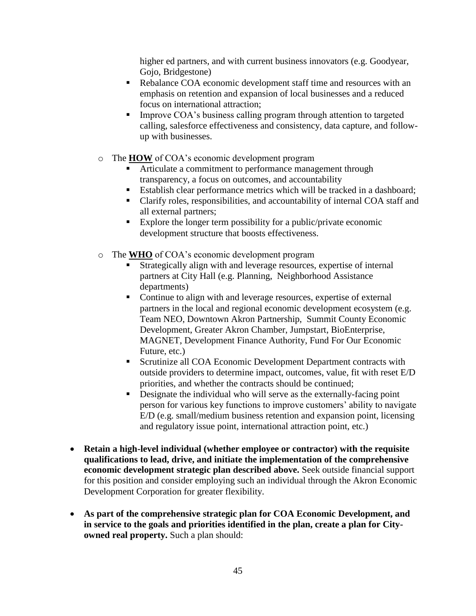higher ed partners, and with current business innovators (e.g. Goodyear, Gojo, Bridgestone)

- Rebalance COA economic development staff time and resources with an emphasis on retention and expansion of local businesses and a reduced focus on international attraction;
- Improve COA's business calling program through attention to targeted calling, salesforce effectiveness and consistency, data capture, and followup with businesses.
- o The **HOW** of COA's economic development program
	- Articulate a commitment to performance management through transparency, a focus on outcomes, and accountability
	- Establish clear performance metrics which will be tracked in a dashboard;
	- Clarify roles, responsibilities, and accountability of internal COA staff and all external partners;
	- Explore the longer term possibility for a public/private economic development structure that boosts effectiveness.
- o The **WHO** of COA's economic development program
	- Strategically align with and leverage resources, expertise of internal partners at City Hall (e.g. Planning, Neighborhood Assistance departments)
	- Continue to align with and leverage resources, expertise of external partners in the local and regional economic development ecosystem (e.g. Team NEO, Downtown Akron Partnership, Summit County Economic Development, Greater Akron Chamber, Jumpstart, BioEnterprise, MAGNET, Development Finance Authority, Fund For Our Economic Future, etc.)
	- Scrutinize all COA Economic Development Department contracts with outside providers to determine impact, outcomes, value, fit with reset E/D priorities, and whether the contracts should be continued;
	- Designate the individual who will serve as the externally-facing point person for various key functions to improve customers' ability to navigate E/D (e.g. small/medium business retention and expansion point, licensing and regulatory issue point, international attraction point, etc.)
- **Retain a high-level individual (whether employee or contractor) with the requisite qualifications to lead, drive, and initiate the implementation of the comprehensive economic development strategic plan described above.** Seek outside financial support for this position and consider employing such an individual through the Akron Economic Development Corporation for greater flexibility.
- **As part of the comprehensive strategic plan for COA Economic Development, and in service to the goals and priorities identified in the plan, create a plan for Cityowned real property.** Such a plan should: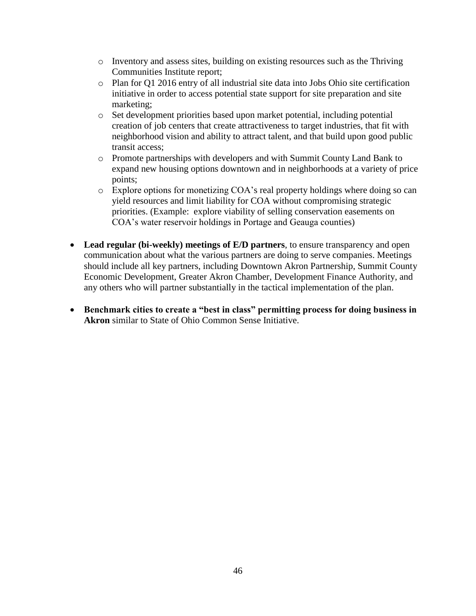- $\circ$  Inventory and assess sites, building on existing resources such as the Thriving Communities Institute report;
- o Plan for Q1 2016 entry of all industrial site data into Jobs Ohio site certification initiative in order to access potential state support for site preparation and site marketing;
- o Set development priorities based upon market potential, including potential creation of job centers that create attractiveness to target industries, that fit with neighborhood vision and ability to attract talent, and that build upon good public transit access;
- o Promote partnerships with developers and with Summit County Land Bank to expand new housing options downtown and in neighborhoods at a variety of price points;
- o Explore options for monetizing COA's real property holdings where doing so can yield resources and limit liability for COA without compromising strategic priorities. (Example: explore viability of selling conservation easements on COA's water reservoir holdings in Portage and Geauga counties)
- **Lead regular (bi-weekly) meetings of E/D partners**, to ensure transparency and open communication about what the various partners are doing to serve companies. Meetings should include all key partners, including Downtown Akron Partnership, Summit County Economic Development, Greater Akron Chamber, Development Finance Authority, and any others who will partner substantially in the tactical implementation of the plan.
- **Benchmark cities to create a "best in class" permitting process for doing business in Akron** similar to State of Ohio Common Sense Initiative.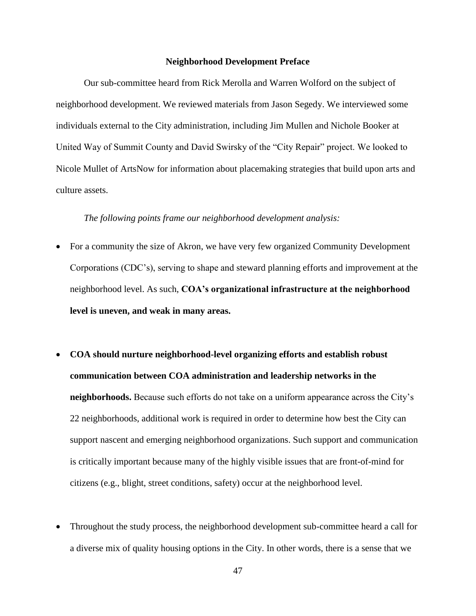#### **Neighborhood Development Preface**

Our sub-committee heard from Rick Merolla and Warren Wolford on the subject of neighborhood development. We reviewed materials from Jason Segedy. We interviewed some individuals external to the City administration, including Jim Mullen and Nichole Booker at United Way of Summit County and David Swirsky of the "City Repair" project. We looked to Nicole Mullet of ArtsNow for information about placemaking strategies that build upon arts and culture assets.

#### *The following points frame our neighborhood development analysis:*

- For a community the size of Akron, we have very few organized Community Development Corporations (CDC's), serving to shape and steward planning efforts and improvement at the neighborhood level. As such, **COA's organizational infrastructure at the neighborhood level is uneven, and weak in many areas.**
- **COA should nurture neighborhood-level organizing efforts and establish robust communication between COA administration and leadership networks in the neighborhoods.** Because such efforts do not take on a uniform appearance across the City's 22 neighborhoods, additional work is required in order to determine how best the City can support nascent and emerging neighborhood organizations. Such support and communication is critically important because many of the highly visible issues that are front-of-mind for citizens (e.g., blight, street conditions, safety) occur at the neighborhood level.
- Throughout the study process, the neighborhood development sub-committee heard a call for a diverse mix of quality housing options in the City. In other words, there is a sense that we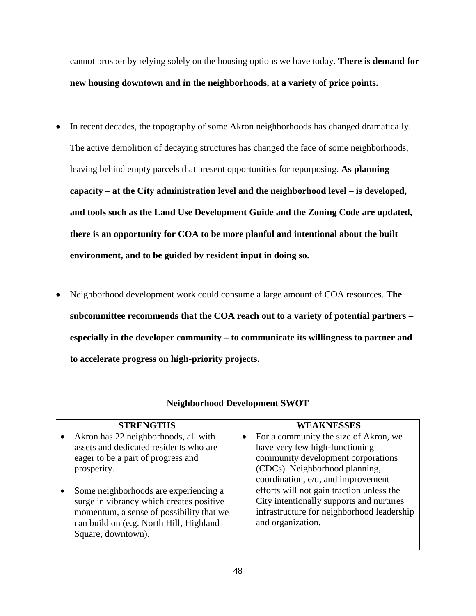cannot prosper by relying solely on the housing options we have today. **There is demand for new housing downtown and in the neighborhoods, at a variety of price points.** 

- In recent decades, the topography of some Akron neighborhoods has changed dramatically. The active demolition of decaying structures has changed the face of some neighborhoods, leaving behind empty parcels that present opportunities for repurposing. **As planning capacity – at the City administration level and the neighborhood level – is developed, and tools such as the Land Use Development Guide and the Zoning Code are updated, there is an opportunity for COA to be more planful and intentional about the built environment, and to be guided by resident input in doing so.**
- Neighborhood development work could consume a large amount of COA resources. **The subcommittee recommends that the COA reach out to a variety of potential partners – especially in the developer community – to communicate its willingness to partner and to accelerate progress on high-priority projects.**

| <b>STRENGTHS</b>                                                                                                                                                                               | <b>WEAKNESSES</b>                                                                                                                                                                     |
|------------------------------------------------------------------------------------------------------------------------------------------------------------------------------------------------|---------------------------------------------------------------------------------------------------------------------------------------------------------------------------------------|
| Akron has 22 neighborhoods, all with<br>assets and dedicated residents who are<br>eager to be a part of progress and<br>prosperity.                                                            | For a community the size of Akron, we<br>have very few high-functioning<br>community development corporations<br>(CDCs). Neighborhood planning,<br>coordination, e/d, and improvement |
| Some neighborhoods are experiencing a<br>surge in vibrancy which creates positive<br>momentum, a sense of possibility that we<br>can build on (e.g. North Hill, Highland<br>Square, downtown). | efforts will not gain traction unless the<br>City intentionally supports and nurtures<br>infrastructure for neighborhood leadership<br>and organization.                              |

## **Neighborhood Development SWOT**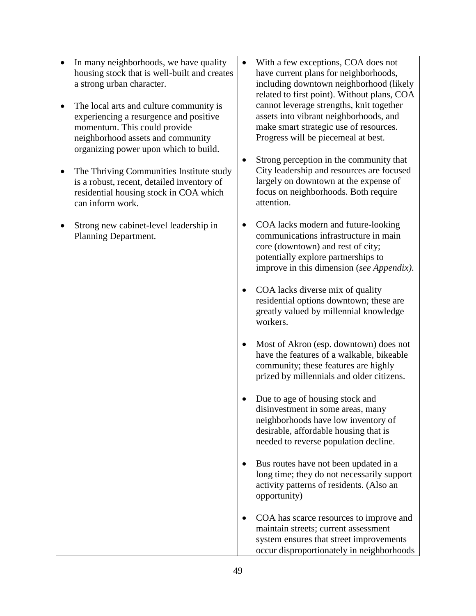- In many neighborhoods, we have quality housing stock that is well-built and creates a strong urban character.
- The local arts and culture community is experiencing a resurgence and positive momentum. This could provide neighborhood assets and community organizing power upon which to build.
- The Thriving Communities Institute study is a robust, recent, detailed inventory of residential housing stock in COA which can inform work.
- Strong new cabinet-level leadership in Planning Department.
- With a few exceptions, COA does not have current plans for neighborhoods, including downtown neighborhood (likely related to first point). Without plans, COA cannot leverage strengths, knit together assets into vibrant neighborhoods, and make smart strategic use of resources. Progress will be piecemeal at best.
- Strong perception in the community that City leadership and resources are focused largely on downtown at the expense of focus on neighborhoods. Both require attention.
- COA lacks modern and future-looking communications infrastructure in main core (downtown) and rest of city; potentially explore partnerships to improve in this dimension (*see Appendix)*.
- COA lacks diverse mix of quality residential options downtown; these are greatly valued by millennial knowledge workers.
- Most of Akron (esp. downtown) does not have the features of a walkable, bikeable community; these features are highly prized by millennials and older citizens.
- Due to age of housing stock and disinvestment in some areas, many neighborhoods have low inventory of desirable, affordable housing that is needed to reverse population decline.
- Bus routes have not been updated in a long time; they do not necessarily support activity patterns of residents. (Also an opportunity)
- COA has scarce resources to improve and maintain streets; current assessment system ensures that street improvements occur disproportionately in neighborhoods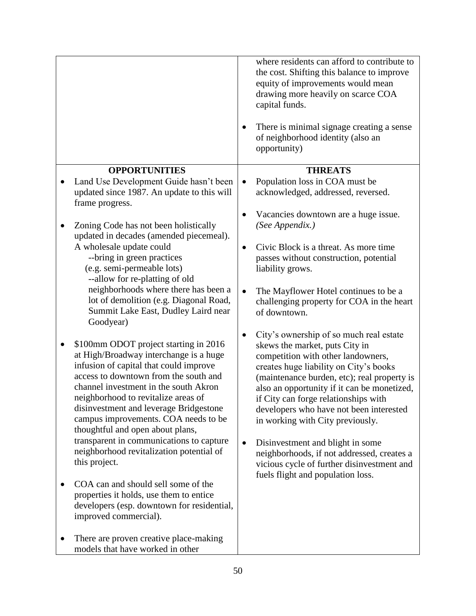|                                                                                                                                                                                                                                                                                                                                                                          | where residents can afford to contribute to<br>the cost. Shifting this balance to improve<br>equity of improvements would mean<br>drawing more heavily on scarce COA<br>capital funds.<br>There is minimal signage creating a sense<br>of neighborhood identity (also an<br>opportunity)                                                                                       |
|--------------------------------------------------------------------------------------------------------------------------------------------------------------------------------------------------------------------------------------------------------------------------------------------------------------------------------------------------------------------------|--------------------------------------------------------------------------------------------------------------------------------------------------------------------------------------------------------------------------------------------------------------------------------------------------------------------------------------------------------------------------------|
| <b>OPPORTUNITIES</b>                                                                                                                                                                                                                                                                                                                                                     | <b>THREATS</b>                                                                                                                                                                                                                                                                                                                                                                 |
| Land Use Development Guide hasn't been<br>updated since 1987. An update to this will<br>frame progress.                                                                                                                                                                                                                                                                  | Population loss in COA must be<br>$\bullet$<br>acknowledged, addressed, reversed.                                                                                                                                                                                                                                                                                              |
| Zoning Code has not been holistically<br>updated in decades (amended piecemeal).                                                                                                                                                                                                                                                                                         | Vacancies downtown are a huge issue.<br>(See Appendix.)                                                                                                                                                                                                                                                                                                                        |
| A wholesale update could<br>--bring in green practices<br>(e.g. semi-permeable lots)<br>--allow for re-platting of old                                                                                                                                                                                                                                                   | Civic Block is a threat. As more time<br>passes without construction, potential<br>liability grows.                                                                                                                                                                                                                                                                            |
| neighborhoods where there has been a<br>lot of demolition (e.g. Diagonal Road,<br>Summit Lake East, Dudley Laird near<br>Goodyear)                                                                                                                                                                                                                                       | The Mayflower Hotel continues to be a<br>$\bullet$<br>challenging property for COA in the heart<br>of downtown.                                                                                                                                                                                                                                                                |
| \$100mm ODOT project starting in 2016<br>at High/Broadway interchange is a huge<br>infusion of capital that could improve<br>access to downtown from the south and<br>channel investment in the south Akron<br>neighborhood to revitalize areas of<br>disinvestment and leverage Bridgestone<br>campus improvements. COA needs to be<br>thoughtful and open about plans, | City's ownership of so much real estate<br>skews the market, puts City in<br>competition with other landowners,<br>creates huge liability on City's books<br>(maintenance burden, etc); real property is<br>also an opportunity if it can be monetized,<br>if City can forge relationships with<br>developers who have not been interested<br>in working with City previously. |
| transparent in communications to capture<br>neighborhood revitalization potential of<br>this project.                                                                                                                                                                                                                                                                    | Disinvestment and blight in some<br>neighborhoods, if not addressed, creates a<br>vicious cycle of further disinvestment and<br>fuels flight and population loss.                                                                                                                                                                                                              |
| COA can and should sell some of the<br>properties it holds, use them to entice<br>developers (esp. downtown for residential,<br>improved commercial).                                                                                                                                                                                                                    |                                                                                                                                                                                                                                                                                                                                                                                |
| There are proven creative place-making<br>models that have worked in other                                                                                                                                                                                                                                                                                               |                                                                                                                                                                                                                                                                                                                                                                                |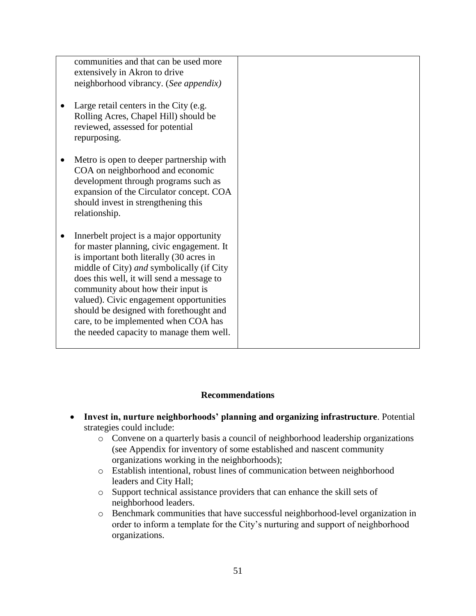| communities and that can be used more<br>extensively in Akron to drive<br>neighborhood vibrancy. (See appendix)<br>Large retail centers in the City (e.g.<br>Rolling Acres, Chapel Hill) should be                                                                                                                                                                                                                                          |  |
|---------------------------------------------------------------------------------------------------------------------------------------------------------------------------------------------------------------------------------------------------------------------------------------------------------------------------------------------------------------------------------------------------------------------------------------------|--|
| reviewed, assessed for potential<br>repurposing.                                                                                                                                                                                                                                                                                                                                                                                            |  |
| Metro is open to deeper partnership with<br>COA on neighborhood and economic<br>development through programs such as<br>expansion of the Circulator concept. COA<br>should invest in strengthening this<br>relationship.                                                                                                                                                                                                                    |  |
| Innerbelt project is a major opportunity<br>for master planning, civic engagement. It<br>is important both literally (30 acres in<br>middle of City) and symbolically (if City<br>does this well, it will send a message to<br>community about how their input is<br>valued). Civic engagement opportunities<br>should be designed with forethought and<br>care, to be implemented when COA has<br>the needed capacity to manage them well. |  |

#### **Recommendations**

- **Invest in, nurture neighborhoods' planning and organizing infrastructure**. Potential strategies could include:
	- o Convene on a quarterly basis a council of neighborhood leadership organizations (see Appendix for inventory of some established and nascent community organizations working in the neighborhoods);
	- o Establish intentional, robust lines of communication between neighborhood leaders and City Hall;
	- o Support technical assistance providers that can enhance the skill sets of neighborhood leaders.
	- o Benchmark communities that have successful neighborhood-level organization in order to inform a template for the City's nurturing and support of neighborhood organizations.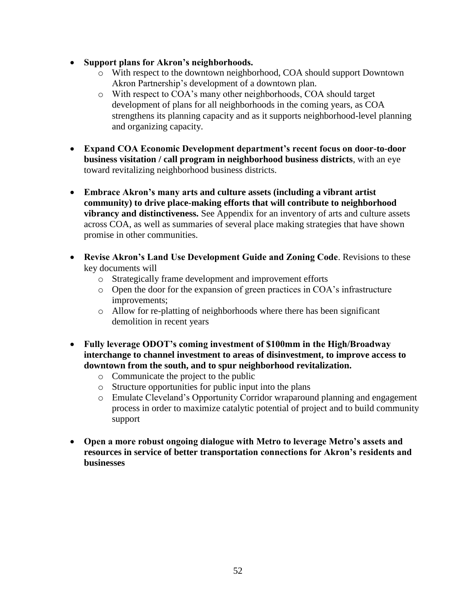- **Support plans for Akron's neighborhoods.** 
	- o With respect to the downtown neighborhood, COA should support Downtown Akron Partnership's development of a downtown plan.
	- o With respect to COA's many other neighborhoods, COA should target development of plans for all neighborhoods in the coming years, as COA strengthens its planning capacity and as it supports neighborhood-level planning and organizing capacity.
- **Expand COA Economic Development department's recent focus on door-to-door business visitation / call program in neighborhood business districts**, with an eye toward revitalizing neighborhood business districts.
- **Embrace Akron's many arts and culture assets (including a vibrant artist community) to drive place-making efforts that will contribute to neighborhood vibrancy and distinctiveness.** See Appendix for an inventory of arts and culture assets across COA, as well as summaries of several place making strategies that have shown promise in other communities.
- **Revise Akron's Land Use Development Guide and Zoning Code**. Revisions to these key documents will
	- o Strategically frame development and improvement efforts
	- o Open the door for the expansion of green practices in COA's infrastructure improvements;
	- o Allow for re-platting of neighborhoods where there has been significant demolition in recent years
- **Fully leverage ODOT's coming investment of \$100mm in the High/Broadway interchange to channel investment to areas of disinvestment, to improve access to downtown from the south, and to spur neighborhood revitalization.**
	- o Communicate the project to the public
	- o Structure opportunities for public input into the plans
	- o Emulate Cleveland's Opportunity Corridor wraparound planning and engagement process in order to maximize catalytic potential of project and to build community support
- **Open a more robust ongoing dialogue with Metro to leverage Metro's assets and resources in service of better transportation connections for Akron's residents and businesses**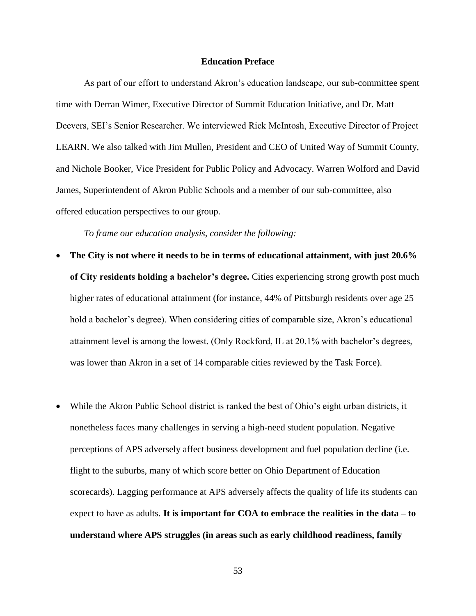#### **Education Preface**

As part of our effort to understand Akron's education landscape, our sub-committee spent time with Derran Wimer, Executive Director of Summit Education Initiative, and Dr. Matt Deevers, SEI's Senior Researcher. We interviewed Rick McIntosh, Executive Director of Project LEARN. We also talked with Jim Mullen, President and CEO of United Way of Summit County, and Nichole Booker, Vice President for Public Policy and Advocacy. Warren Wolford and David James, Superintendent of Akron Public Schools and a member of our sub-committee, also offered education perspectives to our group.

*To frame our education analysis, consider the following:* 

- **The City is not where it needs to be in terms of educational attainment, with just 20.6% of City residents holding a bachelor's degree.** Cities experiencing strong growth post much higher rates of educational attainment (for instance, 44% of Pittsburgh residents over age 25 hold a bachelor's degree). When considering cities of comparable size, Akron's educational attainment level is among the lowest. (Only Rockford, IL at 20.1% with bachelor's degrees, was lower than Akron in a set of 14 comparable cities reviewed by the Task Force).
- While the Akron Public School district is ranked the best of Ohio's eight urban districts, it nonetheless faces many challenges in serving a high-need student population. Negative perceptions of APS adversely affect business development and fuel population decline (i.e. flight to the suburbs, many of which score better on Ohio Department of Education scorecards). Lagging performance at APS adversely affects the quality of life its students can expect to have as adults. **It is important for COA to embrace the realities in the data – to understand where APS struggles (in areas such as early childhood readiness, family**

53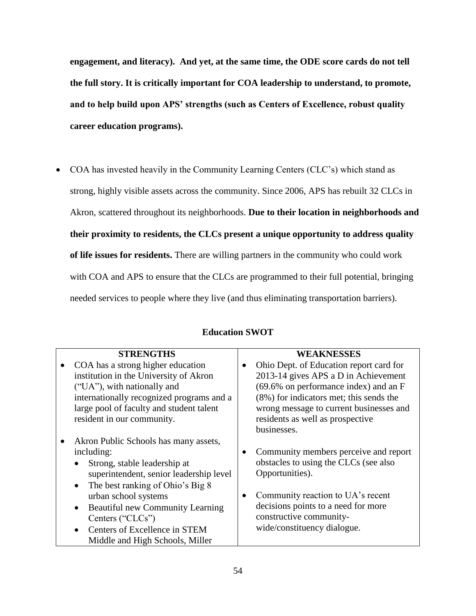**engagement, and literacy). And yet, at the same time, the ODE score cards do not tell the full story. It is critically important for COA leadership to understand, to promote, and to help build upon APS' strengths (such as Centers of Excellence, robust quality career education programs).** 

 COA has invested heavily in the Community Learning Centers (CLC's) which stand as strong, highly visible assets across the community. Since 2006, APS has rebuilt 32 CLCs in Akron, scattered throughout its neighborhoods. **Due to their location in neighborhoods and their proximity to residents, the CLCs present a unique opportunity to address quality of life issues for residents.** There are willing partners in the community who could work with COA and APS to ensure that the CLCs are programmed to their full potential, bringing needed services to people where they live (and thus eliminating transportation barriers).

| <b>STRENGTHS</b>                                     | WEAKNESSES                              |
|------------------------------------------------------|-----------------------------------------|
| COA has a strong higher education                    | Ohio Dept. of Education report card for |
| institution in the University of Akron               | 2013-14 gives APS a D in Achievement    |
| ("UA"), with nationally and                          | (69.6% on performance index) and an F   |
| internationally recognized programs and a            | (8%) for indicators met; this sends the |
| large pool of faculty and student talent             | wrong message to current businesses and |
| resident in our community.                           | residents as well as prospective        |
|                                                      | businesses.                             |
| Akron Public Schools has many assets,                |                                         |
| including:                                           | Community members perceive and report   |
| Strong, stable leadership at                         | obstacles to using the CLCs (see also   |
| superintendent, senior leadership level              | Opportunities).                         |
| The best ranking of Ohio's Big 8<br>$\bullet$        |                                         |
| urban school systems                                 | Community reaction to UA's recent       |
| <b>Beautiful new Community Learning</b><br>$\bullet$ | decisions points to a need for more     |
| Centers ("CLCs")                                     | constructive community-                 |
| Centers of Excellence in STEM                        | wide/constituency dialogue.             |
| Middle and High Schools, Miller                      |                                         |

## **Education SWOT**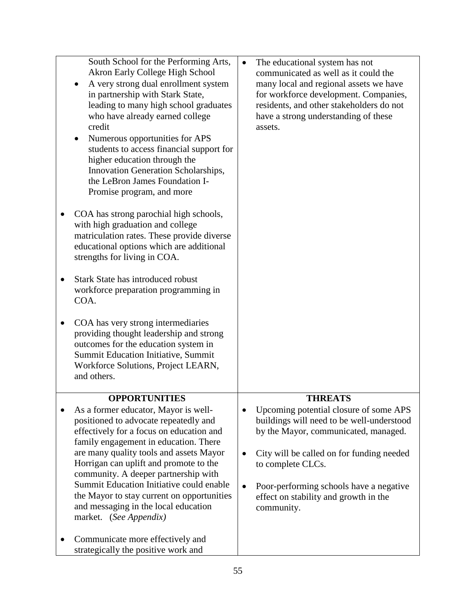| assets.                                                                                                                                                                                                                                                                                                           |
|-------------------------------------------------------------------------------------------------------------------------------------------------------------------------------------------------------------------------------------------------------------------------------------------------------------------|
| <b>THREATS</b><br>Upcoming potential closure of some APS<br>buildings will need to be well-understood<br>by the Mayor, communicated, managed.<br>City will be called on for funding needed<br>to complete CLCs.<br>Poor-performing schools have a negative<br>effect on stability and growth in the<br>community. |
| students to access financial support for                                                                                                                                                                                                                                                                          |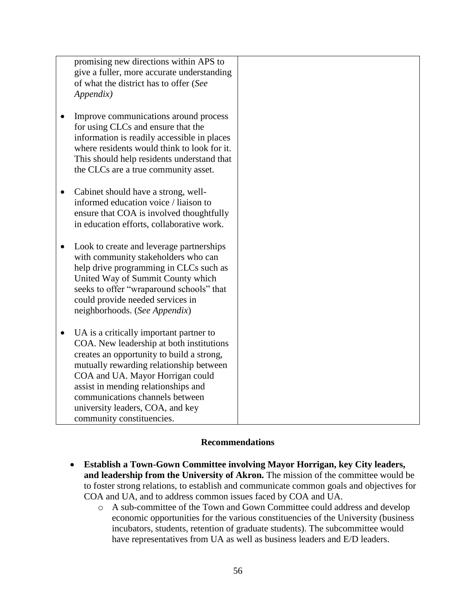promising new directions within APS to give a fuller, more accurate understanding of what the district has to offer (*See Appendix)* 

- Improve communications around process for using CLCs and ensure that the information is readily accessible in places where residents would think to look for it. This should help residents understand that the CLCs are a true community asset.
- Cabinet should have a strong, wellinformed education voice / liaison to ensure that COA is involved thoughtfully in education efforts, collaborative work.
- Look to create and leverage partnerships with community stakeholders who can help drive programming in CLCs such as United Way of Summit County which seeks to offer "wraparound schools" that could provide needed services in neighborhoods. (*See Appendix*)
- UA is a critically important partner to COA. New leadership at both institutions creates an opportunity to build a strong, mutually rewarding relationship between COA and UA. Mayor Horrigan could assist in mending relationships and communications channels between university leaders, COA, and key community constituencies.

## **Recommendations**

- **Establish a Town-Gown Committee involving Mayor Horrigan, key City leaders, and leadership from the University of Akron.** The mission of the committee would be to foster strong relations, to establish and communicate common goals and objectives for COA and UA, and to address common issues faced by COA and UA.
	- o A sub-committee of the Town and Gown Committee could address and develop economic opportunities for the various constituencies of the University (business incubators, students, retention of graduate students). The subcommittee would have representatives from UA as well as business leaders and E/D leaders.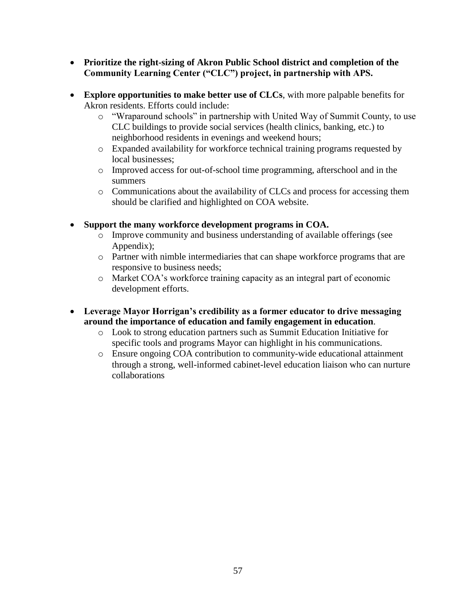- **Prioritize the right-sizing of Akron Public School district and completion of the Community Learning Center ("CLC") project, in partnership with APS.**
- **Explore opportunities to make better use of CLCs**, with more palpable benefits for Akron residents. Efforts could include:
	- o "Wraparound schools" in partnership with United Way of Summit County, to use CLC buildings to provide social services (health clinics, banking, etc.) to neighborhood residents in evenings and weekend hours;
	- o Expanded availability for workforce technical training programs requested by local businesses:
	- o Improved access for out-of-school time programming, afterschool and in the summers
	- o Communications about the availability of CLCs and process for accessing them should be clarified and highlighted on COA website.
- **Support the many workforce development programs in COA.** 
	- o Improve community and business understanding of available offerings (see Appendix);
	- o Partner with nimble intermediaries that can shape workforce programs that are responsive to business needs;
	- o Market COA's workforce training capacity as an integral part of economic development efforts.
- **Leverage Mayor Horrigan's credibility as a former educator to drive messaging around the importance of education and family engagement in education**.
	- o Look to strong education partners such as Summit Education Initiative for specific tools and programs Mayor can highlight in his communications.
	- o Ensure ongoing COA contribution to community-wide educational attainment through a strong, well-informed cabinet-level education liaison who can nurture collaborations